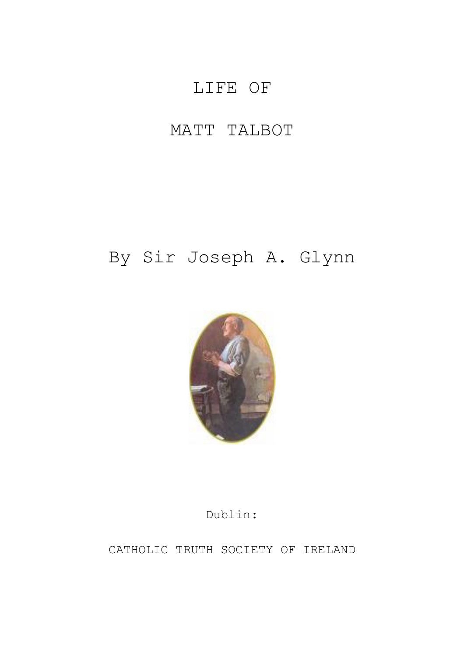# LIFE OF

## MATT TALBOT

# By Sir Joseph A. Glynn



## Dublin:

CATHOLIC TRUTH SOCIETY OF IRELAND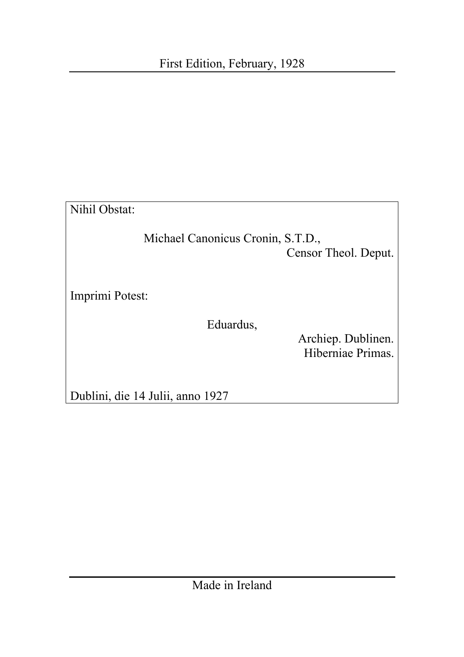Nihil Obstat:

Michael Canonicus Cronin, S.T.D., Censor Theol. Deput.

Imprimi Potest:

Eduardus,

Archiep. Dublinen. Hiberniae Primas.

Dublini, die 14 Julii, anno 1927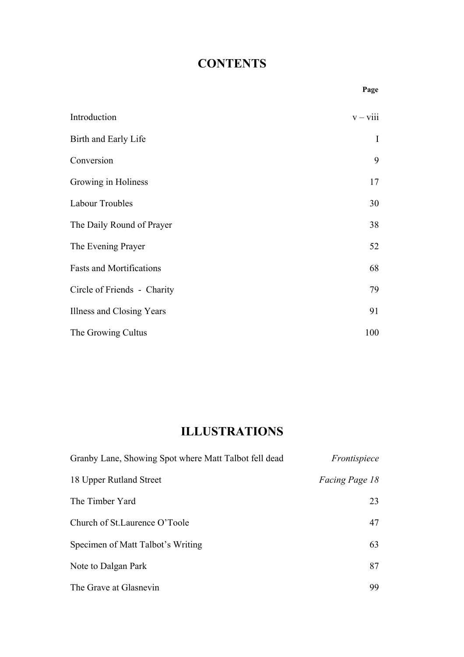## **CONTENTS**

|                                 | Page       |
|---------------------------------|------------|
| Introduction                    | $v - viii$ |
| Birth and Early Life            | $\bf{I}$   |
| Conversion                      | 9          |
| Growing in Holiness             | 17         |
| <b>Labour Troubles</b>          | 30         |
| The Daily Round of Prayer       | 38         |
| The Evening Prayer              | 52         |
| <b>Fasts and Mortifications</b> | 68         |
| Circle of Friends - Charity     | 79         |
| Illness and Closing Years       | 91         |
| The Growing Cultus              | 100        |

## **ILLUSTRATIONS**

| Granby Lane, Showing Spot where Matt Talbot fell dead | Frontispiece          |
|-------------------------------------------------------|-----------------------|
| 18 Upper Rutland Street                               | <i>Facing Page 18</i> |
| The Timber Yard                                       | 23                    |
| Church of St. Laurence O'Toole                        | 47                    |
| Specimen of Matt Talbot's Writing                     | 63                    |
| Note to Dalgan Park                                   | 87                    |
| The Grave at Glasnevin                                | 99                    |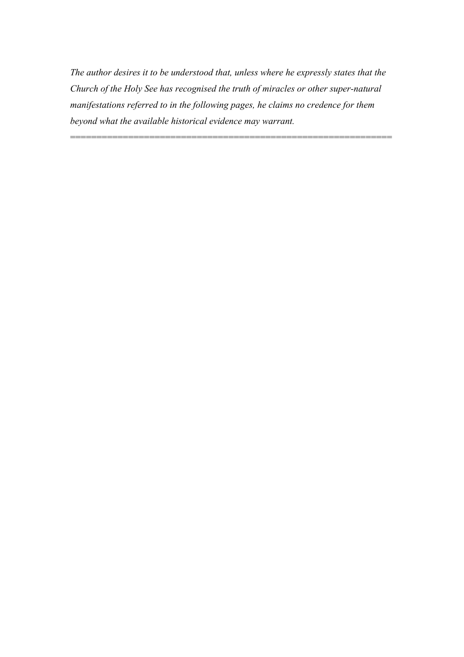*The author desires it to be understood that, unless where he expressly states that the Church of the Holy See has recognised the truth of miracles or other super-natural manifestations referred to in the following pages, he claims no credence for them beyond what the available historical evidence may warrant.* 

=============================================================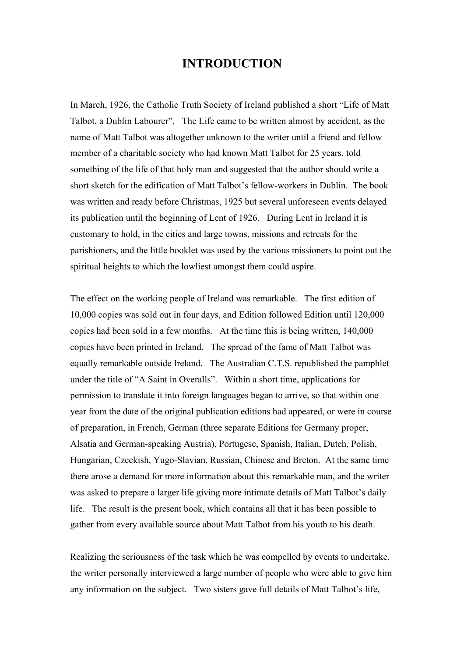#### **INTRODUCTION**

In March, 1926, the Catholic Truth Society of Ireland published a short "Life of Matt Talbot, a Dublin Labourer". The Life came to be written almost by accident, as the name of Matt Talbot was altogether unknown to the writer until a friend and fellow member of a charitable society who had known Matt Talbot for 25 years, told something of the life of that holy man and suggested that the author should write a short sketch for the edification of Matt Talbot's fellow-workers in Dublin. The book was written and ready before Christmas, 1925 but several unforeseen events delayed its publication until the beginning of Lent of 1926. During Lent in Ireland it is customary to hold, in the cities and large towns, missions and retreats for the parishioners, and the little booklet was used by the various missioners to point out the spiritual heights to which the lowliest amongst them could aspire.

The effect on the working people of Ireland was remarkable. The first edition of 10,000 copies was sold out in four days, and Edition followed Edition until 120,000 copies had been sold in a few months. At the time this is being written, 140,000 copies have been printed in Ireland. The spread of the fame of Matt Talbot was equally remarkable outside Ireland. The Australian C.T.S. republished the pamphlet under the title of "A Saint in Overalls". Within a short time, applications for permission to translate it into foreign languages began to arrive, so that within one year from the date of the original publication editions had appeared, or were in course of preparation, in French, German (three separate Editions for Germany proper, Alsatia and German-speaking Austria), Portugese, Spanish, Italian, Dutch, Polish, Hungarian, Czeckish, Yugo-Slavian, Russian, Chinese and Breton. At the same time there arose a demand for more information about this remarkable man, and the writer was asked to prepare a larger life giving more intimate details of Matt Talbot's daily life. The result is the present book, which contains all that it has been possible to gather from every available source about Matt Talbot from his youth to his death.

Realizing the seriousness of the task which he was compelled by events to undertake, the writer personally interviewed a large number of people who were able to give him any information on the subject. Two sisters gave full details of Matt Talbot's life,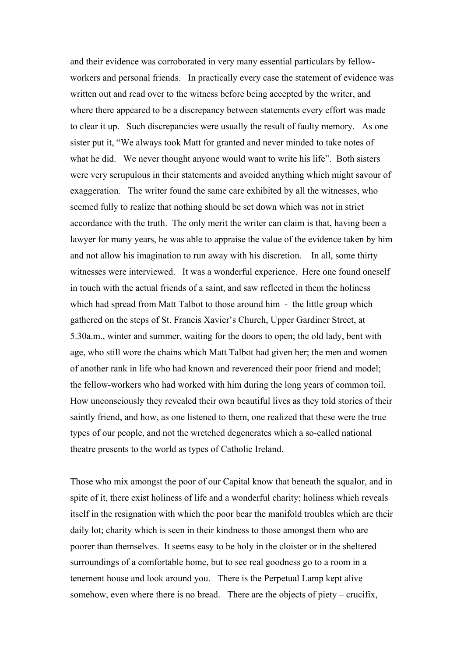and their evidence was corroborated in very many essential particulars by fellowworkers and personal friends. In practically every case the statement of evidence was written out and read over to the witness before being accepted by the writer, and where there appeared to be a discrepancy between statements every effort was made to clear it up. Such discrepancies were usually the result of faulty memory. As one sister put it, "We always took Matt for granted and never minded to take notes of what he did. We never thought anyone would want to write his life". Both sisters were very scrupulous in their statements and avoided anything which might savour of exaggeration. The writer found the same care exhibited by all the witnesses, who seemed fully to realize that nothing should be set down which was not in strict accordance with the truth. The only merit the writer can claim is that, having been a lawyer for many years, he was able to appraise the value of the evidence taken by him and not allow his imagination to run away with his discretion. In all, some thirty witnesses were interviewed. It was a wonderful experience. Here one found oneself in touch with the actual friends of a saint, and saw reflected in them the holiness which had spread from Matt Talbot to those around him - the little group which gathered on the steps of St. Francis Xavier's Church, Upper Gardiner Street, at 5.30a.m., winter and summer, waiting for the doors to open; the old lady, bent with age, who still wore the chains which Matt Talbot had given her; the men and women of another rank in life who had known and reverenced their poor friend and model; the fellow-workers who had worked with him during the long years of common toil. How unconsciously they revealed their own beautiful lives as they told stories of their saintly friend, and how, as one listened to them, one realized that these were the true types of our people, and not the wretched degenerates which a so-called national theatre presents to the world as types of Catholic Ireland.

Those who mix amongst the poor of our Capital know that beneath the squalor, and in spite of it, there exist holiness of life and a wonderful charity; holiness which reveals itself in the resignation with which the poor bear the manifold troubles which are their daily lot; charity which is seen in their kindness to those amongst them who are poorer than themselves. It seems easy to be holy in the cloister or in the sheltered surroundings of a comfortable home, but to see real goodness go to a room in a tenement house and look around you. There is the Perpetual Lamp kept alive somehow, even where there is no bread. There are the objects of piety – crucifix,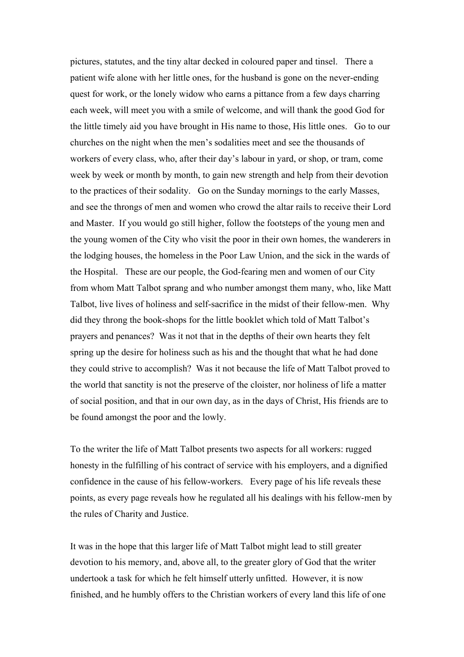pictures, statutes, and the tiny altar decked in coloured paper and tinsel. There a patient wife alone with her little ones, for the husband is gone on the never-ending quest for work, or the lonely widow who earns a pittance from a few days charring each week, will meet you with a smile of welcome, and will thank the good God for the little timely aid you have brought in His name to those, His little ones. Go to our churches on the night when the men's sodalities meet and see the thousands of workers of every class, who, after their day's labour in yard, or shop, or tram, come week by week or month by month, to gain new strength and help from their devotion to the practices of their sodality. Go on the Sunday mornings to the early Masses, and see the throngs of men and women who crowd the altar rails to receive their Lord and Master. If you would go still higher, follow the footsteps of the young men and the young women of the City who visit the poor in their own homes, the wanderers in the lodging houses, the homeless in the Poor Law Union, and the sick in the wards of the Hospital. These are our people, the God-fearing men and women of our City from whom Matt Talbot sprang and who number amongst them many, who, like Matt Talbot, live lives of holiness and self-sacrifice in the midst of their fellow-men. Why did they throng the book-shops for the little booklet which told of Matt Talbot's prayers and penances? Was it not that in the depths of their own hearts they felt spring up the desire for holiness such as his and the thought that what he had done they could strive to accomplish? Was it not because the life of Matt Talbot proved to the world that sanctity is not the preserve of the cloister, nor holiness of life a matter of social position, and that in our own day, as in the days of Christ, His friends are to be found amongst the poor and the lowly.

To the writer the life of Matt Talbot presents two aspects for all workers: rugged honesty in the fulfilling of his contract of service with his employers, and a dignified confidence in the cause of his fellow-workers. Every page of his life reveals these points, as every page reveals how he regulated all his dealings with his fellow-men by the rules of Charity and Justice.

It was in the hope that this larger life of Matt Talbot might lead to still greater devotion to his memory, and, above all, to the greater glory of God that the writer undertook a task for which he felt himself utterly unfitted. However, it is now finished, and he humbly offers to the Christian workers of every land this life of one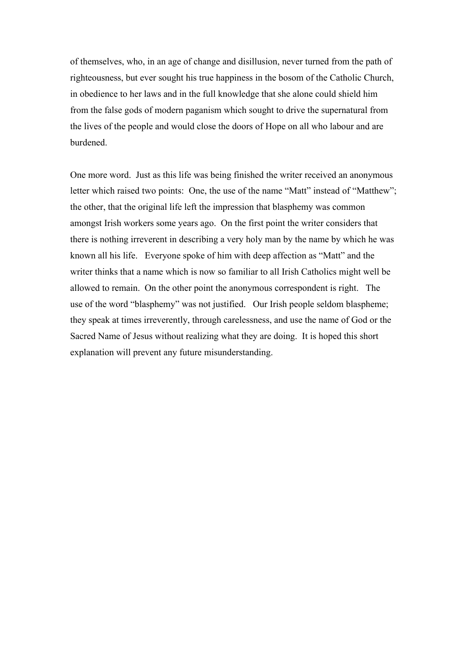of themselves, who, in an age of change and disillusion, never turned from the path of righteousness, but ever sought his true happiness in the bosom of the Catholic Church, in obedience to her laws and in the full knowledge that she alone could shield him from the false gods of modern paganism which sought to drive the supernatural from the lives of the people and would close the doors of Hope on all who labour and are burdened.

One more word. Just as this life was being finished the writer received an anonymous letter which raised two points: One, the use of the name "Matt" instead of "Matthew"; the other, that the original life left the impression that blasphemy was common amongst Irish workers some years ago. On the first point the writer considers that there is nothing irreverent in describing a very holy man by the name by which he was known all his life. Everyone spoke of him with deep affection as "Matt" and the writer thinks that a name which is now so familiar to all Irish Catholics might well be allowed to remain. On the other point the anonymous correspondent is right. The use of the word "blasphemy" was not justified. Our Irish people seldom blaspheme; they speak at times irreverently, through carelessness, and use the name of God or the Sacred Name of Jesus without realizing what they are doing. It is hoped this short explanation will prevent any future misunderstanding.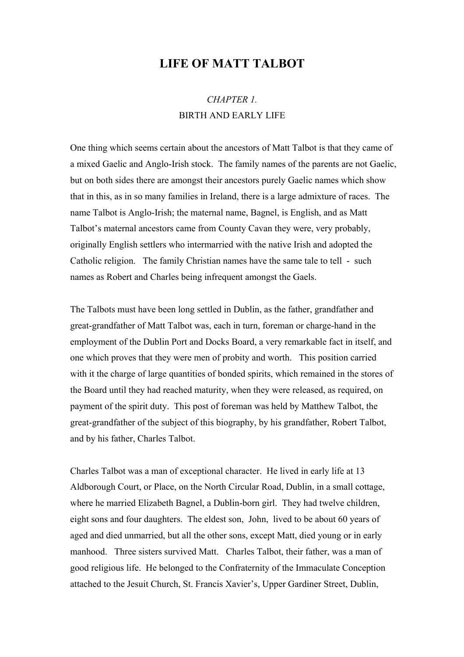#### **LIFE OF MATT TALBOT**

### *CHAPTER 1.*  BIRTH AND EARLY LIFE

One thing which seems certain about the ancestors of Matt Talbot is that they came of a mixed Gaelic and Anglo-Irish stock. The family names of the parents are not Gaelic, but on both sides there are amongst their ancestors purely Gaelic names which show that in this, as in so many families in Ireland, there is a large admixture of races. The name Talbot is Anglo-Irish; the maternal name, Bagnel, is English, and as Matt Talbot's maternal ancestors came from County Cavan they were, very probably, originally English settlers who intermarried with the native Irish and adopted the Catholic religion. The family Christian names have the same tale to tell - such names as Robert and Charles being infrequent amongst the Gaels.

The Talbots must have been long settled in Dublin, as the father, grandfather and great-grandfather of Matt Talbot was, each in turn, foreman or charge-hand in the employment of the Dublin Port and Docks Board, a very remarkable fact in itself, and one which proves that they were men of probity and worth. This position carried with it the charge of large quantities of bonded spirits, which remained in the stores of the Board until they had reached maturity, when they were released, as required, on payment of the spirit duty. This post of foreman was held by Matthew Talbot, the great-grandfather of the subject of this biography, by his grandfather, Robert Talbot, and by his father, Charles Talbot.

Charles Talbot was a man of exceptional character. He lived in early life at 13 Aldborough Court, or Place, on the North Circular Road, Dublin, in a small cottage, where he married Elizabeth Bagnel, a Dublin-born girl. They had twelve children, eight sons and four daughters. The eldest son, John, lived to be about 60 years of aged and died unmarried, but all the other sons, except Matt, died young or in early manhood. Three sisters survived Matt. Charles Talbot, their father, was a man of good religious life. He belonged to the Confraternity of the Immaculate Conception attached to the Jesuit Church, St. Francis Xavier's, Upper Gardiner Street, Dublin,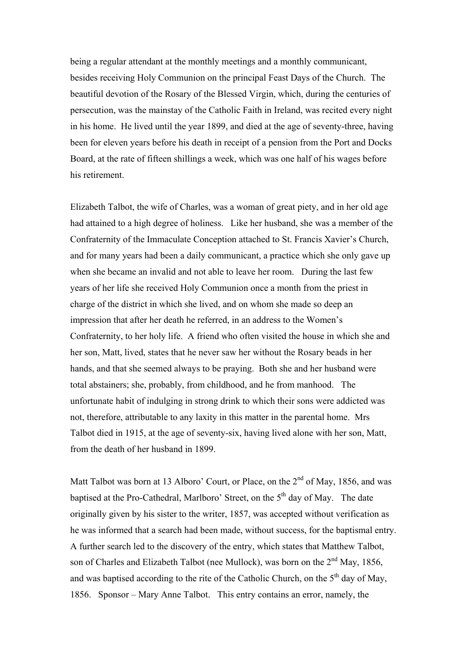being a regular attendant at the monthly meetings and a monthly communicant, besides receiving Holy Communion on the principal Feast Days of the Church. The beautiful devotion of the Rosary of the Blessed Virgin, which, during the centuries of persecution, was the mainstay of the Catholic Faith in Ireland, was recited every night in his home. He lived until the year 1899, and died at the age of seventy-three, having been for eleven years before his death in receipt of a pension from the Port and Docks Board, at the rate of fifteen shillings a week, which was one half of his wages before his retirement.

Elizabeth Talbot, the wife of Charles, was a woman of great piety, and in her old age had attained to a high degree of holiness. Like her husband, she was a member of the Confraternity of the Immaculate Conception attached to St. Francis Xavier's Church, and for many years had been a daily communicant, a practice which she only gave up when she became an invalid and not able to leave her room. During the last few years of her life she received Holy Communion once a month from the priest in charge of the district in which she lived, and on whom she made so deep an impression that after her death he referred, in an address to the Women's Confraternity, to her holy life. A friend who often visited the house in which she and her son, Matt, lived, states that he never saw her without the Rosary beads in her hands, and that she seemed always to be praying. Both she and her husband were total abstainers; she, probably, from childhood, and he from manhood. The unfortunate habit of indulging in strong drink to which their sons were addicted was not, therefore, attributable to any laxity in this matter in the parental home. Mrs Talbot died in 1915, at the age of seventy-six, having lived alone with her son, Matt, from the death of her husband in 1899.

Matt Talbot was born at 13 Alboro' Court, or Place, on the  $2<sup>nd</sup>$  of May, 1856, and was baptised at the Pro-Cathedral, Marlboro' Street, on the  $5<sup>th</sup>$  day of May. The date originally given by his sister to the writer, 1857, was accepted without verification as he was informed that a search had been made, without success, for the baptismal entry. A further search led to the discovery of the entry, which states that Matthew Talbot, son of Charles and Elizabeth Talbot (nee Mullock), was born on the 2<sup>nd</sup> May, 1856, and was baptised according to the rite of the Catholic Church, on the  $5<sup>th</sup>$  day of May, 1856. Sponsor – Mary Anne Talbot. This entry contains an error, namely, the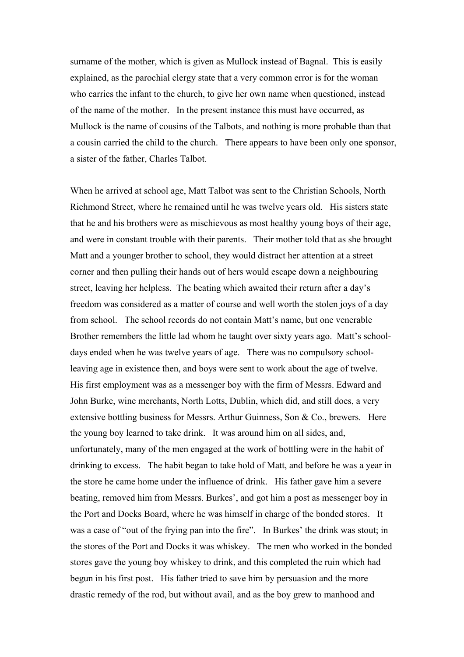surname of the mother, which is given as Mullock instead of Bagnal. This is easily explained, as the parochial clergy state that a very common error is for the woman who carries the infant to the church, to give her own name when questioned, instead of the name of the mother. In the present instance this must have occurred, as Mullock is the name of cousins of the Talbots, and nothing is more probable than that a cousin carried the child to the church. There appears to have been only one sponsor, a sister of the father, Charles Talbot.

When he arrived at school age, Matt Talbot was sent to the Christian Schools, North Richmond Street, where he remained until he was twelve years old. His sisters state that he and his brothers were as mischievous as most healthy young boys of their age, and were in constant trouble with their parents. Their mother told that as she brought Matt and a younger brother to school, they would distract her attention at a street corner and then pulling their hands out of hers would escape down a neighbouring street, leaving her helpless. The beating which awaited their return after a day's freedom was considered as a matter of course and well worth the stolen joys of a day from school. The school records do not contain Matt's name, but one venerable Brother remembers the little lad whom he taught over sixty years ago. Matt's schooldays ended when he was twelve years of age. There was no compulsory schoolleaving age in existence then, and boys were sent to work about the age of twelve. His first employment was as a messenger boy with the firm of Messrs. Edward and John Burke, wine merchants, North Lotts, Dublin, which did, and still does, a very extensive bottling business for Messrs. Arthur Guinness, Son & Co., brewers. Here the young boy learned to take drink. It was around him on all sides, and, unfortunately, many of the men engaged at the work of bottling were in the habit of drinking to excess. The habit began to take hold of Matt, and before he was a year in the store he came home under the influence of drink. His father gave him a severe beating, removed him from Messrs. Burkes', and got him a post as messenger boy in the Port and Docks Board, where he was himself in charge of the bonded stores. It was a case of "out of the frying pan into the fire". In Burkes' the drink was stout; in the stores of the Port and Docks it was whiskey. The men who worked in the bonded stores gave the young boy whiskey to drink, and this completed the ruin which had begun in his first post. His father tried to save him by persuasion and the more drastic remedy of the rod, but without avail, and as the boy grew to manhood and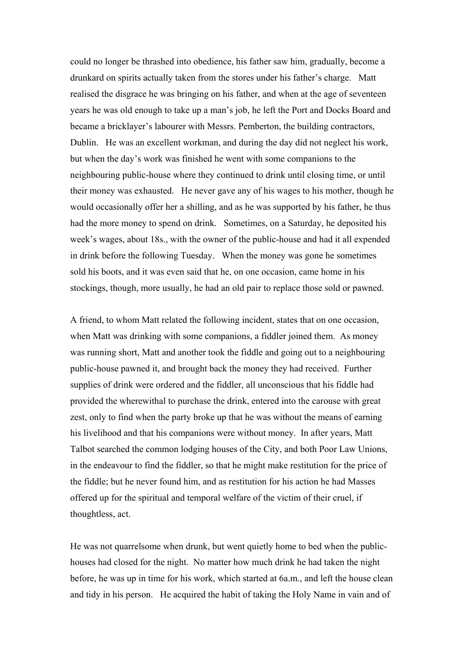could no longer be thrashed into obedience, his father saw him, gradually, become a drunkard on spirits actually taken from the stores under his father's charge. Matt realised the disgrace he was bringing on his father, and when at the age of seventeen years he was old enough to take up a man's job, he left the Port and Docks Board and became a bricklayer's labourer with Messrs. Pemberton, the building contractors, Dublin. He was an excellent workman, and during the day did not neglect his work, but when the day's work was finished he went with some companions to the neighbouring public-house where they continued to drink until closing time, or until their money was exhausted. He never gave any of his wages to his mother, though he would occasionally offer her a shilling, and as he was supported by his father, he thus had the more money to spend on drink. Sometimes, on a Saturday, he deposited his week's wages, about 18s., with the owner of the public-house and had it all expended in drink before the following Tuesday. When the money was gone he sometimes sold his boots, and it was even said that he, on one occasion, came home in his stockings, though, more usually, he had an old pair to replace those sold or pawned.

A friend, to whom Matt related the following incident, states that on one occasion, when Matt was drinking with some companions, a fiddler joined them. As money was running short, Matt and another took the fiddle and going out to a neighbouring public-house pawned it, and brought back the money they had received. Further supplies of drink were ordered and the fiddler, all unconscious that his fiddle had provided the wherewithal to purchase the drink, entered into the carouse with great zest, only to find when the party broke up that he was without the means of earning his livelihood and that his companions were without money. In after years, Matt Talbot searched the common lodging houses of the City, and both Poor Law Unions, in the endeavour to find the fiddler, so that he might make restitution for the price of the fiddle; but he never found him, and as restitution for his action he had Masses offered up for the spiritual and temporal welfare of the victim of their cruel, if thoughtless, act.

He was not quarrelsome when drunk, but went quietly home to bed when the publichouses had closed for the night. No matter how much drink he had taken the night before, he was up in time for his work, which started at 6a.m., and left the house clean and tidy in his person. He acquired the habit of taking the Holy Name in vain and of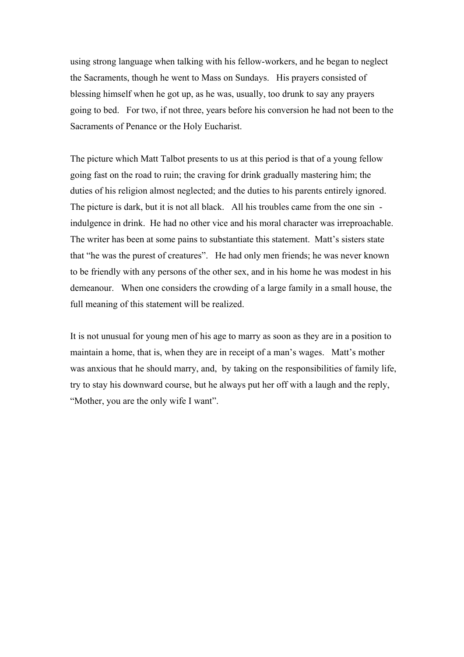using strong language when talking with his fellow-workers, and he began to neglect the Sacraments, though he went to Mass on Sundays. His prayers consisted of blessing himself when he got up, as he was, usually, too drunk to say any prayers going to bed. For two, if not three, years before his conversion he had not been to the Sacraments of Penance or the Holy Eucharist.

The picture which Matt Talbot presents to us at this period is that of a young fellow going fast on the road to ruin; the craving for drink gradually mastering him; the duties of his religion almost neglected; and the duties to his parents entirely ignored. The picture is dark, but it is not all black. All his troubles came from the one sin indulgence in drink. He had no other vice and his moral character was irreproachable. The writer has been at some pains to substantiate this statement. Matt's sisters state that "he was the purest of creatures". He had only men friends; he was never known to be friendly with any persons of the other sex, and in his home he was modest in his demeanour. When one considers the crowding of a large family in a small house, the full meaning of this statement will be realized.

It is not unusual for young men of his age to marry as soon as they are in a position to maintain a home, that is, when they are in receipt of a man's wages. Matt's mother was anxious that he should marry, and, by taking on the responsibilities of family life, try to stay his downward course, but he always put her off with a laugh and the reply, "Mother, you are the only wife I want".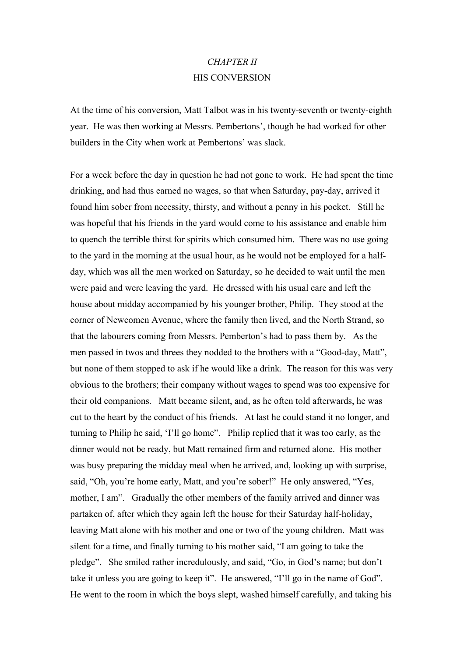#### *CHAPTER II*  HIS CONVERSION

At the time of his conversion, Matt Talbot was in his twenty-seventh or twenty-eighth year. He was then working at Messrs. Pembertons', though he had worked for other builders in the City when work at Pembertons' was slack.

For a week before the day in question he had not gone to work. He had spent the time drinking, and had thus earned no wages, so that when Saturday, pay-day, arrived it found him sober from necessity, thirsty, and without a penny in his pocket. Still he was hopeful that his friends in the yard would come to his assistance and enable him to quench the terrible thirst for spirits which consumed him. There was no use going to the yard in the morning at the usual hour, as he would not be employed for a halfday, which was all the men worked on Saturday, so he decided to wait until the men were paid and were leaving the yard. He dressed with his usual care and left the house about midday accompanied by his younger brother, Philip. They stood at the corner of Newcomen Avenue, where the family then lived, and the North Strand, so that the labourers coming from Messrs. Pemberton's had to pass them by. As the men passed in twos and threes they nodded to the brothers with a "Good-day, Matt", but none of them stopped to ask if he would like a drink. The reason for this was very obvious to the brothers; their company without wages to spend was too expensive for their old companions. Matt became silent, and, as he often told afterwards, he was cut to the heart by the conduct of his friends. At last he could stand it no longer, and turning to Philip he said, 'I'll go home". Philip replied that it was too early, as the dinner would not be ready, but Matt remained firm and returned alone. His mother was busy preparing the midday meal when he arrived, and, looking up with surprise, said, "Oh, you're home early, Matt, and you're sober!" He only answered, "Yes, mother, I am". Gradually the other members of the family arrived and dinner was partaken of, after which they again left the house for their Saturday half-holiday, leaving Matt alone with his mother and one or two of the young children. Matt was silent for a time, and finally turning to his mother said, "I am going to take the pledge". She smiled rather incredulously, and said, "Go, in God's name; but don't take it unless you are going to keep it". He answered, "I'll go in the name of God". He went to the room in which the boys slept, washed himself carefully, and taking his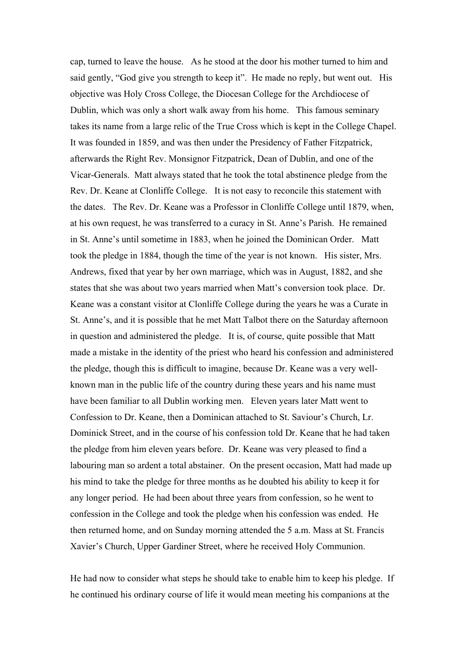cap, turned to leave the house. As he stood at the door his mother turned to him and said gently, "God give you strength to keep it". He made no reply, but went out. His objective was Holy Cross College, the Diocesan College for the Archdiocese of Dublin, which was only a short walk away from his home. This famous seminary takes its name from a large relic of the True Cross which is kept in the College Chapel. It was founded in 1859, and was then under the Presidency of Father Fitzpatrick, afterwards the Right Rev. Monsignor Fitzpatrick, Dean of Dublin, and one of the Vicar-Generals. Matt always stated that he took the total abstinence pledge from the Rev. Dr. Keane at Clonliffe College. It is not easy to reconcile this statement with the dates. The Rev. Dr. Keane was a Professor in Clonliffe College until 1879, when, at his own request, he was transferred to a curacy in St. Anne's Parish. He remained in St. Anne's until sometime in 1883, when he joined the Dominican Order. Matt took the pledge in 1884, though the time of the year is not known. His sister, Mrs. Andrews, fixed that year by her own marriage, which was in August, 1882, and she states that she was about two years married when Matt's conversion took place. Dr. Keane was a constant visitor at Clonliffe College during the years he was a Curate in St. Anne's, and it is possible that he met Matt Talbot there on the Saturday afternoon in question and administered the pledge. It is, of course, quite possible that Matt made a mistake in the identity of the priest who heard his confession and administered the pledge, though this is difficult to imagine, because Dr. Keane was a very wellknown man in the public life of the country during these years and his name must have been familiar to all Dublin working men. Eleven years later Matt went to Confession to Dr. Keane, then a Dominican attached to St. Saviour's Church, Lr. Dominick Street, and in the course of his confession told Dr. Keane that he had taken the pledge from him eleven years before. Dr. Keane was very pleased to find a labouring man so ardent a total abstainer. On the present occasion, Matt had made up his mind to take the pledge for three months as he doubted his ability to keep it for any longer period. He had been about three years from confession, so he went to confession in the College and took the pledge when his confession was ended. He then returned home, and on Sunday morning attended the 5 a.m. Mass at St. Francis Xavier's Church, Upper Gardiner Street, where he received Holy Communion.

He had now to consider what steps he should take to enable him to keep his pledge. If he continued his ordinary course of life it would mean meeting his companions at the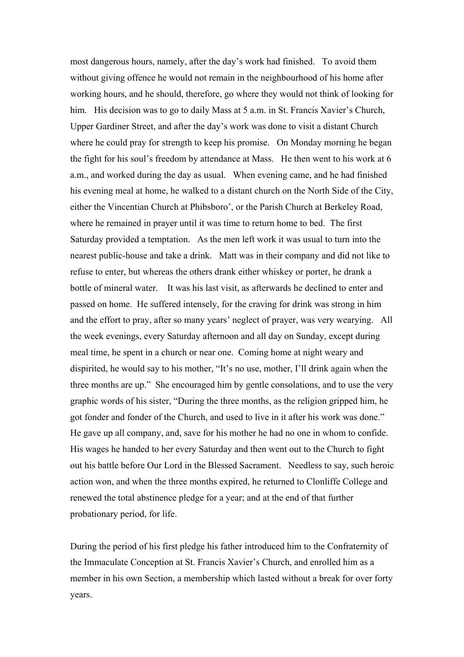most dangerous hours, namely, after the day's work had finished. To avoid them without giving offence he would not remain in the neighbourhood of his home after working hours, and he should, therefore, go where they would not think of looking for him. His decision was to go to daily Mass at 5 a.m. in St. Francis Xavier's Church, Upper Gardiner Street, and after the day's work was done to visit a distant Church where he could pray for strength to keep his promise. On Monday morning he began the fight for his soul's freedom by attendance at Mass. He then went to his work at 6 a.m., and worked during the day as usual. When evening came, and he had finished his evening meal at home, he walked to a distant church on the North Side of the City, either the Vincentian Church at Phibsboro', or the Parish Church at Berkeley Road, where he remained in prayer until it was time to return home to bed. The first Saturday provided a temptation. As the men left work it was usual to turn into the nearest public-house and take a drink. Matt was in their company and did not like to refuse to enter, but whereas the others drank either whiskey or porter, he drank a bottle of mineral water. It was his last visit, as afterwards he declined to enter and passed on home. He suffered intensely, for the craving for drink was strong in him and the effort to pray, after so many years' neglect of prayer, was very wearying. All the week evenings, every Saturday afternoon and all day on Sunday, except during meal time, he spent in a church or near one. Coming home at night weary and dispirited, he would say to his mother, "It's no use, mother, I'll drink again when the three months are up." She encouraged him by gentle consolations, and to use the very graphic words of his sister, "During the three months, as the religion gripped him, he got fonder and fonder of the Church, and used to live in it after his work was done." He gave up all company, and, save for his mother he had no one in whom to confide. His wages he handed to her every Saturday and then went out to the Church to fight out his battle before Our Lord in the Blessed Sacrament. Needless to say, such heroic action won, and when the three months expired, he returned to Clonliffe College and renewed the total abstinence pledge for a year; and at the end of that further probationary period, for life.

During the period of his first pledge his father introduced him to the Confraternity of the Immaculate Conception at St. Francis Xavier's Church, and enrolled him as a member in his own Section, a membership which lasted without a break for over forty years.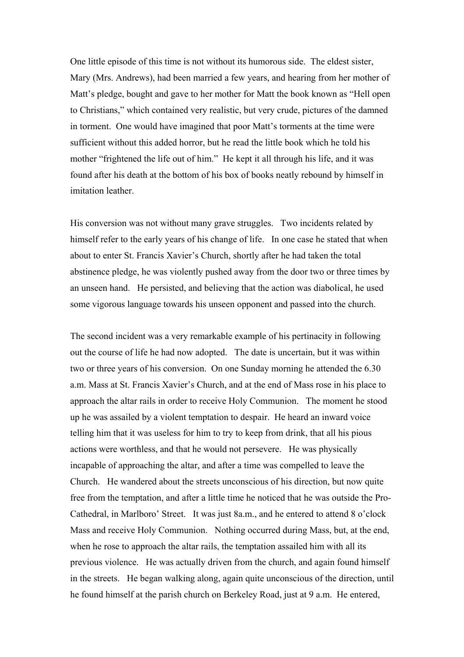One little episode of this time is not without its humorous side. The eldest sister, Mary (Mrs. Andrews), had been married a few years, and hearing from her mother of Matt's pledge, bought and gave to her mother for Matt the book known as "Hell open to Christians," which contained very realistic, but very crude, pictures of the damned in torment. One would have imagined that poor Matt's torments at the time were sufficient without this added horror, but he read the little book which he told his mother "frightened the life out of him." He kept it all through his life, and it was found after his death at the bottom of his box of books neatly rebound by himself in imitation leather

His conversion was not without many grave struggles. Two incidents related by himself refer to the early years of his change of life. In one case he stated that when about to enter St. Francis Xavier's Church, shortly after he had taken the total abstinence pledge, he was violently pushed away from the door two or three times by an unseen hand. He persisted, and believing that the action was diabolical, he used some vigorous language towards his unseen opponent and passed into the church.

The second incident was a very remarkable example of his pertinacity in following out the course of life he had now adopted. The date is uncertain, but it was within two or three years of his conversion. On one Sunday morning he attended the 6.30 a.m. Mass at St. Francis Xavier's Church, and at the end of Mass rose in his place to approach the altar rails in order to receive Holy Communion. The moment he stood up he was assailed by a violent temptation to despair. He heard an inward voice telling him that it was useless for him to try to keep from drink, that all his pious actions were worthless, and that he would not persevere. He was physically incapable of approaching the altar, and after a time was compelled to leave the Church. He wandered about the streets unconscious of his direction, but now quite free from the temptation, and after a little time he noticed that he was outside the Pro-Cathedral, in Marlboro' Street. It was just 8a.m., and he entered to attend 8 o'clock Mass and receive Holy Communion. Nothing occurred during Mass, but, at the end, when he rose to approach the altar rails, the temptation assailed him with all its previous violence. He was actually driven from the church, and again found himself in the streets. He began walking along, again quite unconscious of the direction, until he found himself at the parish church on Berkeley Road, just at 9 a.m. He entered,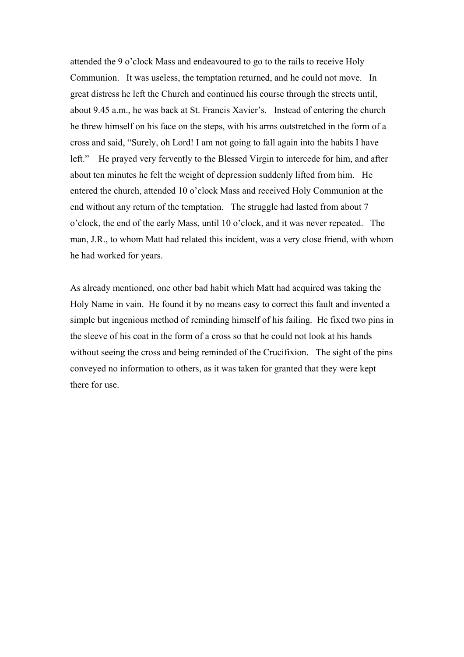attended the 9 o'clock Mass and endeavoured to go to the rails to receive Holy Communion. It was useless, the temptation returned, and he could not move. In great distress he left the Church and continued his course through the streets until, about 9.45 a.m., he was back at St. Francis Xavier's. Instead of entering the church he threw himself on his face on the steps, with his arms outstretched in the form of a cross and said, "Surely, oh Lord! I am not going to fall again into the habits I have left." He prayed very fervently to the Blessed Virgin to intercede for him, and after about ten minutes he felt the weight of depression suddenly lifted from him. He entered the church, attended 10 o'clock Mass and received Holy Communion at the end without any return of the temptation. The struggle had lasted from about 7 o'clock, the end of the early Mass, until 10 o'clock, and it was never repeated. The man, J.R., to whom Matt had related this incident, was a very close friend, with whom he had worked for years.

As already mentioned, one other bad habit which Matt had acquired was taking the Holy Name in vain. He found it by no means easy to correct this fault and invented a simple but ingenious method of reminding himself of his failing. He fixed two pins in the sleeve of his coat in the form of a cross so that he could not look at his hands without seeing the cross and being reminded of the Crucifixion. The sight of the pins conveyed no information to others, as it was taken for granted that they were kept there for use.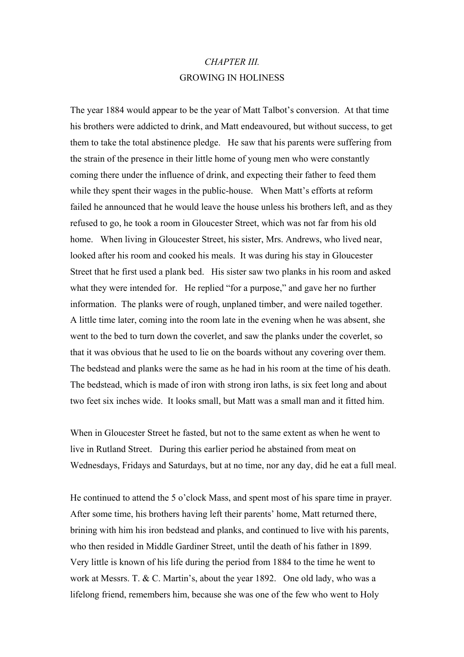#### *CHAPTER III.* GROWING IN HOLINESS

The year 1884 would appear to be the year of Matt Talbot's conversion. At that time his brothers were addicted to drink, and Matt endeavoured, but without success, to get them to take the total abstinence pledge. He saw that his parents were suffering from the strain of the presence in their little home of young men who were constantly coming there under the influence of drink, and expecting their father to feed them while they spent their wages in the public-house. When Matt's efforts at reform failed he announced that he would leave the house unless his brothers left, and as they refused to go, he took a room in Gloucester Street, which was not far from his old home. When living in Gloucester Street, his sister, Mrs. Andrews, who lived near, looked after his room and cooked his meals. It was during his stay in Gloucester Street that he first used a plank bed. His sister saw two planks in his room and asked what they were intended for. He replied "for a purpose," and gave her no further information. The planks were of rough, unplaned timber, and were nailed together. A little time later, coming into the room late in the evening when he was absent, she went to the bed to turn down the coverlet, and saw the planks under the coverlet, so that it was obvious that he used to lie on the boards without any covering over them. The bedstead and planks were the same as he had in his room at the time of his death. The bedstead, which is made of iron with strong iron laths, is six feet long and about two feet six inches wide. It looks small, but Matt was a small man and it fitted him.

When in Gloucester Street he fasted, but not to the same extent as when he went to live in Rutland Street. During this earlier period he abstained from meat on Wednesdays, Fridays and Saturdays, but at no time, nor any day, did he eat a full meal.

He continued to attend the 5 o'clock Mass, and spent most of his spare time in prayer. After some time, his brothers having left their parents' home, Matt returned there, brining with him his iron bedstead and planks, and continued to live with his parents, who then resided in Middle Gardiner Street, until the death of his father in 1899. Very little is known of his life during the period from 1884 to the time he went to work at Messrs. T. & C. Martin's, about the year 1892. One old lady, who was a lifelong friend, remembers him, because she was one of the few who went to Holy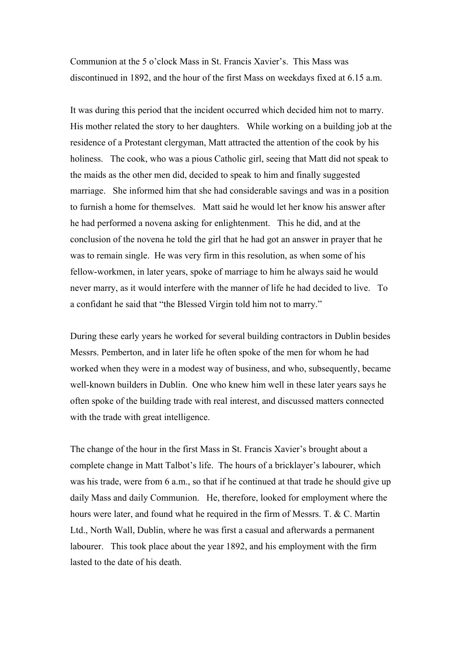Communion at the 5 o'clock Mass in St. Francis Xavier's. This Mass was discontinued in 1892, and the hour of the first Mass on weekdays fixed at 6.15 a.m.

It was during this period that the incident occurred which decided him not to marry. His mother related the story to her daughters. While working on a building job at the residence of a Protestant clergyman, Matt attracted the attention of the cook by his holiness. The cook, who was a pious Catholic girl, seeing that Matt did not speak to the maids as the other men did, decided to speak to him and finally suggested marriage. She informed him that she had considerable savings and was in a position to furnish a home for themselves. Matt said he would let her know his answer after he had performed a novena asking for enlightenment. This he did, and at the conclusion of the novena he told the girl that he had got an answer in prayer that he was to remain single. He was very firm in this resolution, as when some of his fellow-workmen, in later years, spoke of marriage to him he always said he would never marry, as it would interfere with the manner of life he had decided to live. To a confidant he said that "the Blessed Virgin told him not to marry."

During these early years he worked for several building contractors in Dublin besides Messrs. Pemberton, and in later life he often spoke of the men for whom he had worked when they were in a modest way of business, and who, subsequently, became well-known builders in Dublin. One who knew him well in these later years says he often spoke of the building trade with real interest, and discussed matters connected with the trade with great intelligence.

The change of the hour in the first Mass in St. Francis Xavier's brought about a complete change in Matt Talbot's life. The hours of a bricklayer's labourer, which was his trade, were from 6 a.m., so that if he continued at that trade he should give up daily Mass and daily Communion. He, therefore, looked for employment where the hours were later, and found what he required in the firm of Messrs. T. & C. Martin Ltd., North Wall, Dublin, where he was first a casual and afterwards a permanent labourer. This took place about the year 1892, and his employment with the firm lasted to the date of his death.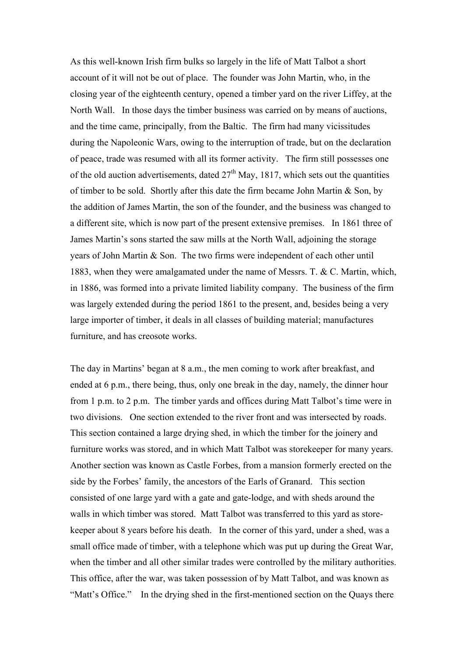As this well-known Irish firm bulks so largely in the life of Matt Talbot a short account of it will not be out of place. The founder was John Martin, who, in the closing year of the eighteenth century, opened a timber yard on the river Liffey, at the North Wall. In those days the timber business was carried on by means of auctions, and the time came, principally, from the Baltic. The firm had many vicissitudes during the Napoleonic Wars, owing to the interruption of trade, but on the declaration of peace, trade was resumed with all its former activity. The firm still possesses one of the old auction advertisements, dated  $27<sup>th</sup>$  May, 1817, which sets out the quantities of timber to be sold. Shortly after this date the firm became John Martin & Son, by the addition of James Martin, the son of the founder, and the business was changed to a different site, which is now part of the present extensive premises. In 1861 three of James Martin's sons started the saw mills at the North Wall, adjoining the storage years of John Martin & Son. The two firms were independent of each other until 1883, when they were amalgamated under the name of Messrs. T. & C. Martin, which, in 1886, was formed into a private limited liability company. The business of the firm was largely extended during the period 1861 to the present, and, besides being a very large importer of timber, it deals in all classes of building material; manufactures furniture, and has creosote works.

The day in Martins' began at 8 a.m., the men coming to work after breakfast, and ended at 6 p.m., there being, thus, only one break in the day, namely, the dinner hour from 1 p.m. to 2 p.m. The timber yards and offices during Matt Talbot's time were in two divisions. One section extended to the river front and was intersected by roads. This section contained a large drying shed, in which the timber for the joinery and furniture works was stored, and in which Matt Talbot was storekeeper for many years. Another section was known as Castle Forbes, from a mansion formerly erected on the side by the Forbes' family, the ancestors of the Earls of Granard. This section consisted of one large yard with a gate and gate-lodge, and with sheds around the walls in which timber was stored. Matt Talbot was transferred to this yard as storekeeper about 8 years before his death. In the corner of this yard, under a shed, was a small office made of timber, with a telephone which was put up during the Great War, when the timber and all other similar trades were controlled by the military authorities. This office, after the war, was taken possession of by Matt Talbot, and was known as "Matt's Office." In the drying shed in the first-mentioned section on the Quays there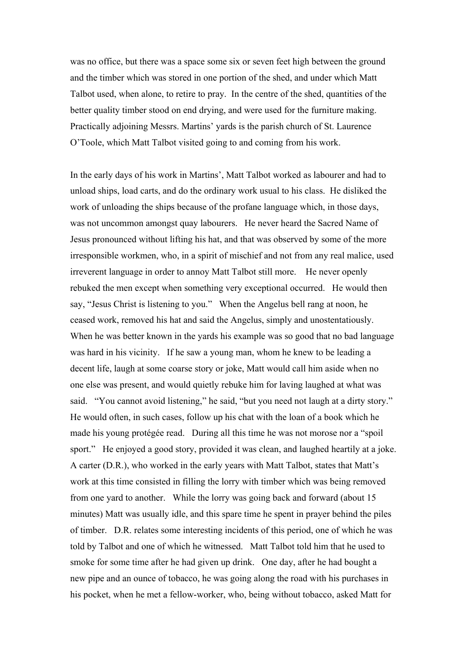was no office, but there was a space some six or seven feet high between the ground and the timber which was stored in one portion of the shed, and under which Matt Talbot used, when alone, to retire to pray. In the centre of the shed, quantities of the better quality timber stood on end drying, and were used for the furniture making. Practically adjoining Messrs. Martins' yards is the parish church of St. Laurence O'Toole, which Matt Talbot visited going to and coming from his work.

In the early days of his work in Martins', Matt Talbot worked as labourer and had to unload ships, load carts, and do the ordinary work usual to his class. He disliked the work of unloading the ships because of the profane language which, in those days, was not uncommon amongst quay labourers. He never heard the Sacred Name of Jesus pronounced without lifting his hat, and that was observed by some of the more irresponsible workmen, who, in a spirit of mischief and not from any real malice, used irreverent language in order to annoy Matt Talbot still more. He never openly rebuked the men except when something very exceptional occurred. He would then say, "Jesus Christ is listening to you." When the Angelus bell rang at noon, he ceased work, removed his hat and said the Angelus, simply and unostentatiously. When he was better known in the yards his example was so good that no bad language was hard in his vicinity. If he saw a young man, whom he knew to be leading a decent life, laugh at some coarse story or joke, Matt would call him aside when no one else was present, and would quietly rebuke him for laving laughed at what was said. "You cannot avoid listening," he said, "but you need not laugh at a dirty story." He would often, in such cases, follow up his chat with the loan of a book which he made his young protégée read. During all this time he was not morose nor a "spoil sport." He enjoyed a good story, provided it was clean, and laughed heartily at a joke. A carter (D.R.), who worked in the early years with Matt Talbot, states that Matt's work at this time consisted in filling the lorry with timber which was being removed from one yard to another. While the lorry was going back and forward (about 15 minutes) Matt was usually idle, and this spare time he spent in prayer behind the piles of timber. D.R. relates some interesting incidents of this period, one of which he was told by Talbot and one of which he witnessed. Matt Talbot told him that he used to smoke for some time after he had given up drink. One day, after he had bought a new pipe and an ounce of tobacco, he was going along the road with his purchases in his pocket, when he met a fellow-worker, who, being without tobacco, asked Matt for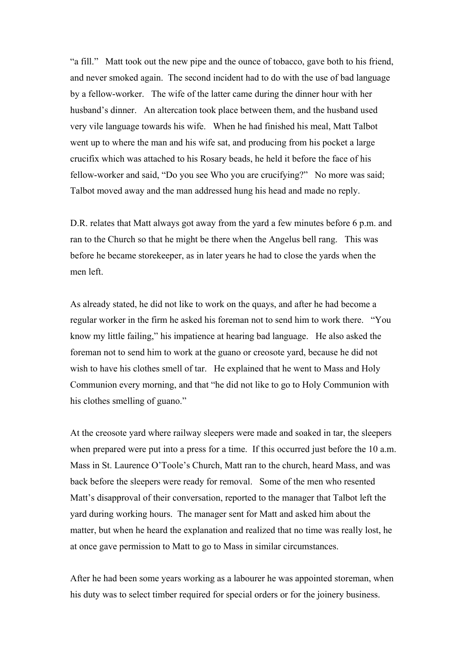"a fill." Matt took out the new pipe and the ounce of tobacco, gave both to his friend, and never smoked again. The second incident had to do with the use of bad language by a fellow-worker. The wife of the latter came during the dinner hour with her husband's dinner. An altercation took place between them, and the husband used very vile language towards his wife. When he had finished his meal, Matt Talbot went up to where the man and his wife sat, and producing from his pocket a large crucifix which was attached to his Rosary beads, he held it before the face of his fellow-worker and said, "Do you see Who you are crucifying?" No more was said; Talbot moved away and the man addressed hung his head and made no reply.

D.R. relates that Matt always got away from the yard a few minutes before 6 p.m. and ran to the Church so that he might be there when the Angelus bell rang. This was before he became storekeeper, as in later years he had to close the yards when the men left.

As already stated, he did not like to work on the quays, and after he had become a regular worker in the firm he asked his foreman not to send him to work there. "You know my little failing," his impatience at hearing bad language. He also asked the foreman not to send him to work at the guano or creosote yard, because he did not wish to have his clothes smell of tar. He explained that he went to Mass and Holy Communion every morning, and that "he did not like to go to Holy Communion with his clothes smelling of guano."

At the creosote yard where railway sleepers were made and soaked in tar, the sleepers when prepared were put into a press for a time. If this occurred just before the 10 a.m. Mass in St. Laurence O'Toole's Church, Matt ran to the church, heard Mass, and was back before the sleepers were ready for removal. Some of the men who resented Matt's disapproval of their conversation, reported to the manager that Talbot left the yard during working hours. The manager sent for Matt and asked him about the matter, but when he heard the explanation and realized that no time was really lost, he at once gave permission to Matt to go to Mass in similar circumstances.

After he had been some years working as a labourer he was appointed storeman, when his duty was to select timber required for special orders or for the joinery business.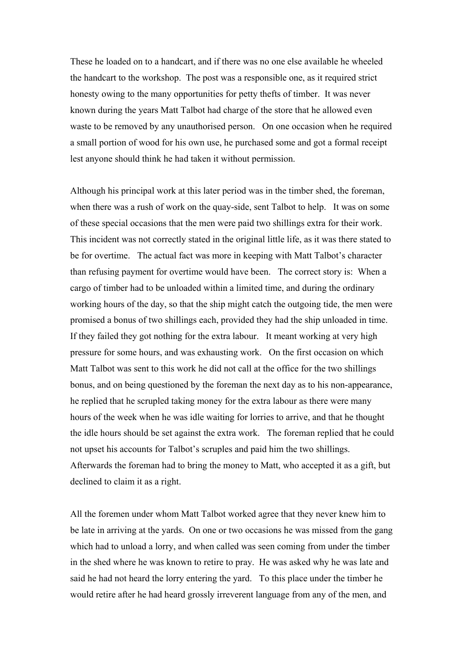These he loaded on to a handcart, and if there was no one else available he wheeled the handcart to the workshop. The post was a responsible one, as it required strict honesty owing to the many opportunities for petty thefts of timber. It was never known during the years Matt Talbot had charge of the store that he allowed even waste to be removed by any unauthorised person. On one occasion when he required a small portion of wood for his own use, he purchased some and got a formal receipt lest anyone should think he had taken it without permission.

Although his principal work at this later period was in the timber shed, the foreman, when there was a rush of work on the quay-side, sent Talbot to help. It was on some of these special occasions that the men were paid two shillings extra for their work. This incident was not correctly stated in the original little life, as it was there stated to be for overtime. The actual fact was more in keeping with Matt Talbot's character than refusing payment for overtime would have been. The correct story is: When a cargo of timber had to be unloaded within a limited time, and during the ordinary working hours of the day, so that the ship might catch the outgoing tide, the men were promised a bonus of two shillings each, provided they had the ship unloaded in time. If they failed they got nothing for the extra labour. It meant working at very high pressure for some hours, and was exhausting work. On the first occasion on which Matt Talbot was sent to this work he did not call at the office for the two shillings bonus, and on being questioned by the foreman the next day as to his non-appearance, he replied that he scrupled taking money for the extra labour as there were many hours of the week when he was idle waiting for lorries to arrive, and that he thought the idle hours should be set against the extra work. The foreman replied that he could not upset his accounts for Talbot's scruples and paid him the two shillings. Afterwards the foreman had to bring the money to Matt, who accepted it as a gift, but declined to claim it as a right.

All the foremen under whom Matt Talbot worked agree that they never knew him to be late in arriving at the yards. On one or two occasions he was missed from the gang which had to unload a lorry, and when called was seen coming from under the timber in the shed where he was known to retire to pray. He was asked why he was late and said he had not heard the lorry entering the yard. To this place under the timber he would retire after he had heard grossly irreverent language from any of the men, and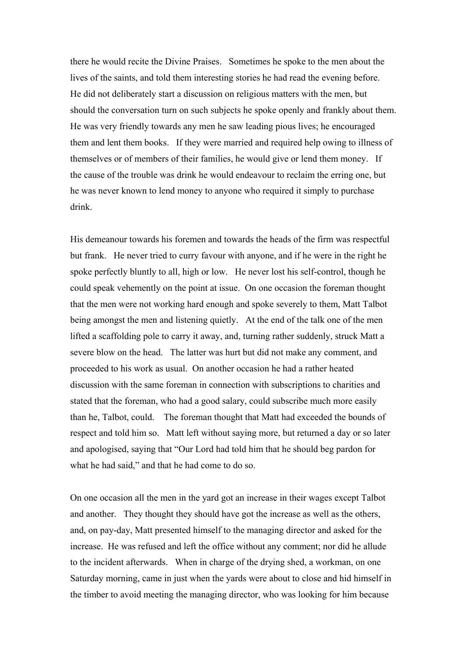there he would recite the Divine Praises. Sometimes he spoke to the men about the lives of the saints, and told them interesting stories he had read the evening before. He did not deliberately start a discussion on religious matters with the men, but should the conversation turn on such subjects he spoke openly and frankly about them. He was very friendly towards any men he saw leading pious lives; he encouraged them and lent them books. If they were married and required help owing to illness of themselves or of members of their families, he would give or lend them money. If the cause of the trouble was drink he would endeavour to reclaim the erring one, but he was never known to lend money to anyone who required it simply to purchase drink.

His demeanour towards his foremen and towards the heads of the firm was respectful but frank. He never tried to curry favour with anyone, and if he were in the right he spoke perfectly bluntly to all, high or low. He never lost his self-control, though he could speak vehemently on the point at issue. On one occasion the foreman thought that the men were not working hard enough and spoke severely to them, Matt Talbot being amongst the men and listening quietly. At the end of the talk one of the men lifted a scaffolding pole to carry it away, and, turning rather suddenly, struck Matt a severe blow on the head. The latter was hurt but did not make any comment, and proceeded to his work as usual. On another occasion he had a rather heated discussion with the same foreman in connection with subscriptions to charities and stated that the foreman, who had a good salary, could subscribe much more easily than he, Talbot, could. The foreman thought that Matt had exceeded the bounds of respect and told him so. Matt left without saying more, but returned a day or so later and apologised, saying that "Our Lord had told him that he should beg pardon for what he had said," and that he had come to do so.

On one occasion all the men in the yard got an increase in their wages except Talbot and another. They thought they should have got the increase as well as the others, and, on pay-day, Matt presented himself to the managing director and asked for the increase. He was refused and left the office without any comment; nor did he allude to the incident afterwards. When in charge of the drying shed, a workman, on one Saturday morning, came in just when the yards were about to close and hid himself in the timber to avoid meeting the managing director, who was looking for him because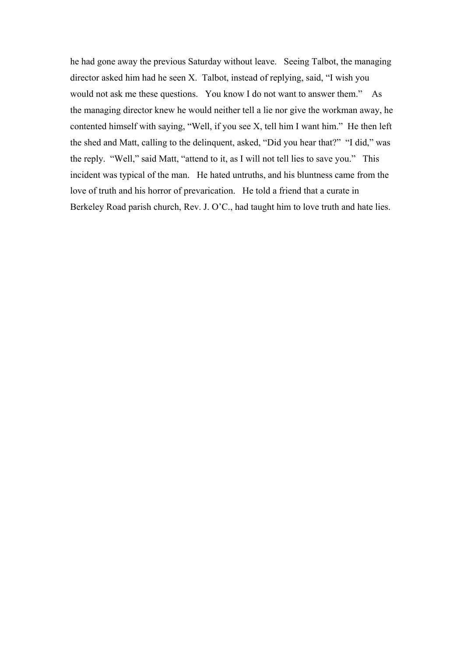he had gone away the previous Saturday without leave. Seeing Talbot, the managing director asked him had he seen X. Talbot, instead of replying, said, "I wish you would not ask me these questions. You know I do not want to answer them." As the managing director knew he would neither tell a lie nor give the workman away, he contented himself with saying, "Well, if you see X, tell him I want him." He then left the shed and Matt, calling to the delinquent, asked, "Did you hear that?" "I did," was the reply. "Well," said Matt, "attend to it, as I will not tell lies to save you." This incident was typical of the man. He hated untruths, and his bluntness came from the love of truth and his horror of prevarication. He told a friend that a curate in Berkeley Road parish church, Rev. J. O'C., had taught him to love truth and hate lies.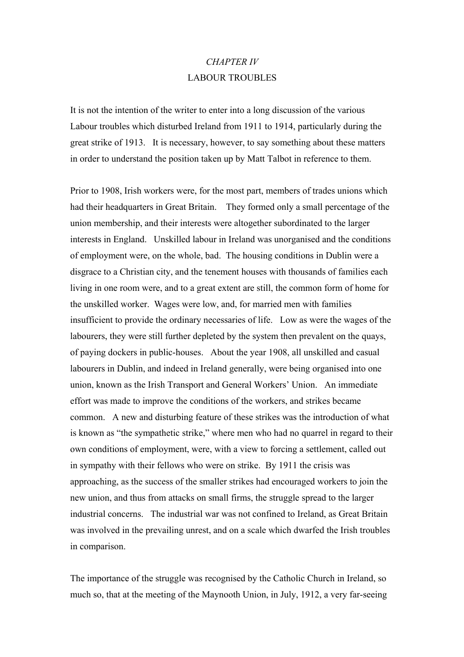#### *CHAPTER IV* LABOUR TROUBLES

It is not the intention of the writer to enter into a long discussion of the various Labour troubles which disturbed Ireland from 1911 to 1914, particularly during the great strike of 1913. It is necessary, however, to say something about these matters in order to understand the position taken up by Matt Talbot in reference to them.

Prior to 1908, Irish workers were, for the most part, members of trades unions which had their headquarters in Great Britain. They formed only a small percentage of the union membership, and their interests were altogether subordinated to the larger interests in England. Unskilled labour in Ireland was unorganised and the conditions of employment were, on the whole, bad. The housing conditions in Dublin were a disgrace to a Christian city, and the tenement houses with thousands of families each living in one room were, and to a great extent are still, the common form of home for the unskilled worker. Wages were low, and, for married men with families insufficient to provide the ordinary necessaries of life. Low as were the wages of the labourers, they were still further depleted by the system then prevalent on the quays, of paying dockers in public-houses. About the year 1908, all unskilled and casual labourers in Dublin, and indeed in Ireland generally, were being organised into one union, known as the Irish Transport and General Workers' Union. An immediate effort was made to improve the conditions of the workers, and strikes became common. A new and disturbing feature of these strikes was the introduction of what is known as "the sympathetic strike," where men who had no quarrel in regard to their own conditions of employment, were, with a view to forcing a settlement, called out in sympathy with their fellows who were on strike. By 1911 the crisis was approaching, as the success of the smaller strikes had encouraged workers to join the new union, and thus from attacks on small firms, the struggle spread to the larger industrial concerns. The industrial war was not confined to Ireland, as Great Britain was involved in the prevailing unrest, and on a scale which dwarfed the Irish troubles in comparison.

The importance of the struggle was recognised by the Catholic Church in Ireland, so much so, that at the meeting of the Maynooth Union, in July, 1912, a very far-seeing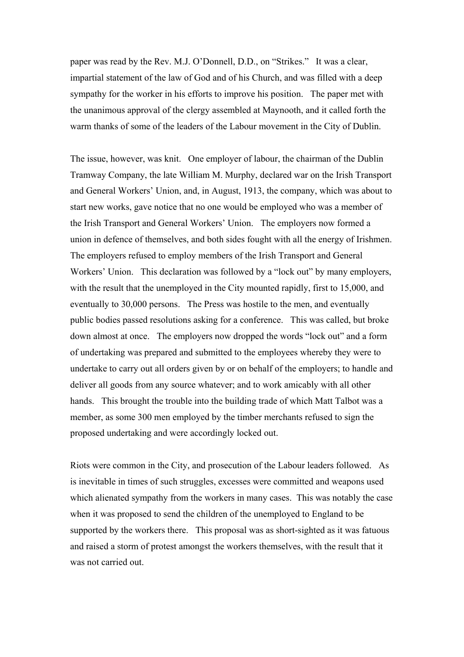paper was read by the Rev. M.J. O'Donnell, D.D., on "Strikes." It was a clear, impartial statement of the law of God and of his Church, and was filled with a deep sympathy for the worker in his efforts to improve his position. The paper met with the unanimous approval of the clergy assembled at Maynooth, and it called forth the warm thanks of some of the leaders of the Labour movement in the City of Dublin.

The issue, however, was knit. One employer of labour, the chairman of the Dublin Tramway Company, the late William M. Murphy, declared war on the Irish Transport and General Workers' Union, and, in August, 1913, the company, which was about to start new works, gave notice that no one would be employed who was a member of the Irish Transport and General Workers' Union. The employers now formed a union in defence of themselves, and both sides fought with all the energy of Irishmen. The employers refused to employ members of the Irish Transport and General Workers' Union. This declaration was followed by a "lock out" by many employers, with the result that the unemployed in the City mounted rapidly, first to 15,000, and eventually to 30,000 persons. The Press was hostile to the men, and eventually public bodies passed resolutions asking for a conference. This was called, but broke down almost at once. The employers now dropped the words "lock out" and a form of undertaking was prepared and submitted to the employees whereby they were to undertake to carry out all orders given by or on behalf of the employers; to handle and deliver all goods from any source whatever; and to work amicably with all other hands. This brought the trouble into the building trade of which Matt Talbot was a member, as some 300 men employed by the timber merchants refused to sign the proposed undertaking and were accordingly locked out.

Riots were common in the City, and prosecution of the Labour leaders followed. As is inevitable in times of such struggles, excesses were committed and weapons used which alienated sympathy from the workers in many cases. This was notably the case when it was proposed to send the children of the unemployed to England to be supported by the workers there. This proposal was as short-sighted as it was fatuous and raised a storm of protest amongst the workers themselves, with the result that it was not carried out.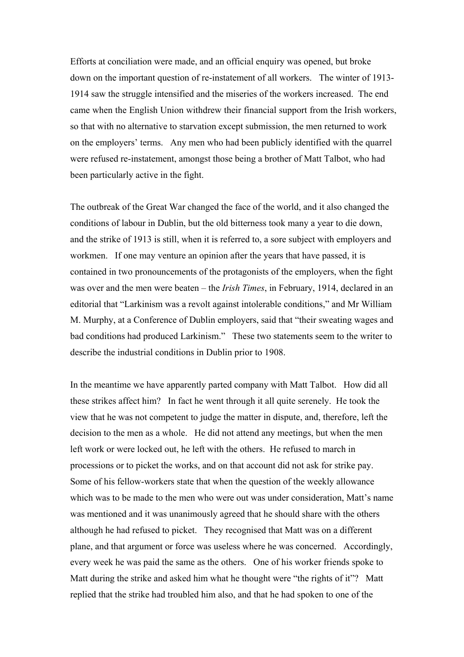Efforts at conciliation were made, and an official enquiry was opened, but broke down on the important question of re-instatement of all workers. The winter of 1913- 1914 saw the struggle intensified and the miseries of the workers increased. The end came when the English Union withdrew their financial support from the Irish workers, so that with no alternative to starvation except submission, the men returned to work on the employers' terms. Any men who had been publicly identified with the quarrel were refused re-instatement, amongst those being a brother of Matt Talbot, who had been particularly active in the fight.

The outbreak of the Great War changed the face of the world, and it also changed the conditions of labour in Dublin, but the old bitterness took many a year to die down, and the strike of 1913 is still, when it is referred to, a sore subject with employers and workmen. If one may venture an opinion after the years that have passed, it is contained in two pronouncements of the protagonists of the employers, when the fight was over and the men were beaten – the *Irish Times*, in February, 1914, declared in an editorial that "Larkinism was a revolt against intolerable conditions," and Mr William M. Murphy, at a Conference of Dublin employers, said that "their sweating wages and bad conditions had produced Larkinism." These two statements seem to the writer to describe the industrial conditions in Dublin prior to 1908.

In the meantime we have apparently parted company with Matt Talbot. How did all these strikes affect him? In fact he went through it all quite serenely. He took the view that he was not competent to judge the matter in dispute, and, therefore, left the decision to the men as a whole. He did not attend any meetings, but when the men left work or were locked out, he left with the others. He refused to march in processions or to picket the works, and on that account did not ask for strike pay. Some of his fellow-workers state that when the question of the weekly allowance which was to be made to the men who were out was under consideration, Matt's name was mentioned and it was unanimously agreed that he should share with the others although he had refused to picket. They recognised that Matt was on a different plane, and that argument or force was useless where he was concerned. Accordingly, every week he was paid the same as the others. One of his worker friends spoke to Matt during the strike and asked him what he thought were "the rights of it"? Matt replied that the strike had troubled him also, and that he had spoken to one of the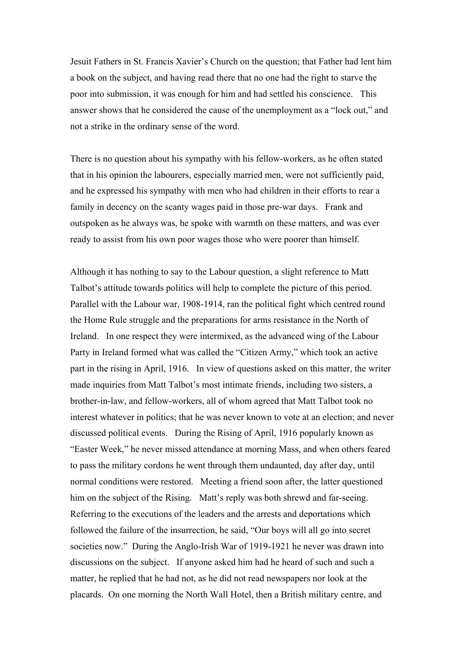Jesuit Fathers in St. Francis Xavier's Church on the question; that Father had lent him a book on the subject, and having read there that no one had the right to starve the poor into submission, it was enough for him and had settled his conscience. This answer shows that he considered the cause of the unemployment as a "lock out," and not a strike in the ordinary sense of the word.

There is no question about his sympathy with his fellow-workers, as he often stated that in his opinion the labourers, especially married men, were not sufficiently paid, and he expressed his sympathy with men who had children in their efforts to rear a family in decency on the scanty wages paid in those pre-war days. Frank and outspoken as he always was, he spoke with warmth on these matters, and was ever ready to assist from his own poor wages those who were poorer than himself.

Although it has nothing to say to the Labour question, a slight reference to Matt Talbot's attitude towards politics will help to complete the picture of this period. Parallel with the Labour war, 1908-1914, ran the political fight which centred round the Home Rule struggle and the preparations for arms resistance in the North of Ireland. In one respect they were intermixed, as the advanced wing of the Labour Party in Ireland formed what was called the "Citizen Army," which took an active part in the rising in April, 1916. In view of questions asked on this matter, the writer made inquiries from Matt Talbot's most intimate friends, including two sisters, a brother-in-law, and fellow-workers, all of whom agreed that Matt Talbot took no interest whatever in politics; that he was never known to vote at an election; and never discussed political events. During the Rising of April, 1916 popularly known as "Easter Week," he never missed attendance at morning Mass, and when others feared to pass the military cordons he went through them undaunted, day after day, until normal conditions were restored. Meeting a friend soon after, the latter questioned him on the subject of the Rising. Matt's reply was both shrewd and far-seeing. Referring to the executions of the leaders and the arrests and deportations which followed the failure of the insurrection, he said, "Our boys will all go into secret societies now." During the Anglo-Irish War of 1919-1921 he never was drawn into discussions on the subject. If anyone asked him had he heard of such and such a matter, he replied that he had not, as he did not read newspapers nor look at the placards. On one morning the North Wall Hotel, then a British military centre, and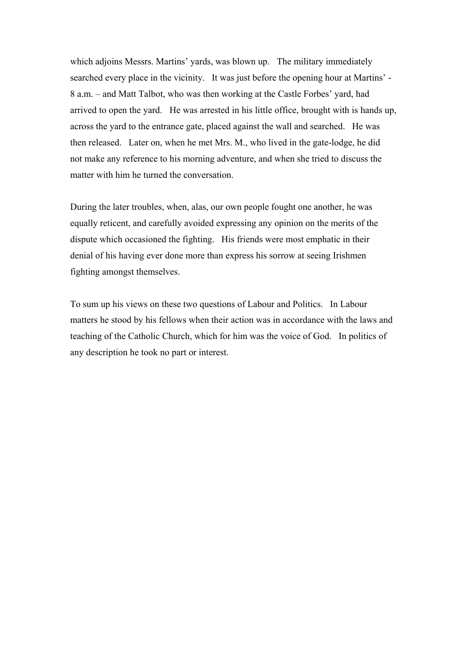which adjoins Messrs. Martins' yards, was blown up. The military immediately searched every place in the vicinity. It was just before the opening hour at Martins' - 8 a.m. – and Matt Talbot, who was then working at the Castle Forbes' yard, had arrived to open the yard. He was arrested in his little office, brought with is hands up, across the yard to the entrance gate, placed against the wall and searched. He was then released. Later on, when he met Mrs. M., who lived in the gate-lodge, he did not make any reference to his morning adventure, and when she tried to discuss the matter with him he turned the conversation.

During the later troubles, when, alas, our own people fought one another, he was equally reticent, and carefully avoided expressing any opinion on the merits of the dispute which occasioned the fighting. His friends were most emphatic in their denial of his having ever done more than express his sorrow at seeing Irishmen fighting amongst themselves.

To sum up his views on these two questions of Labour and Politics. In Labour matters he stood by his fellows when their action was in accordance with the laws and teaching of the Catholic Church, which for him was the voice of God. In politics of any description he took no part or interest.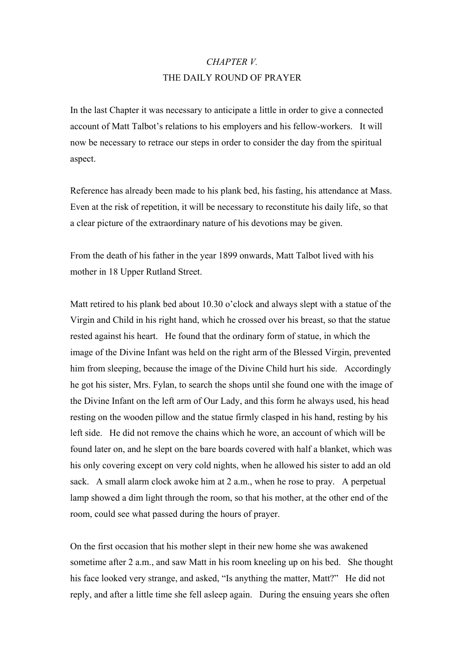#### *CHAPTER V.*  THE DAILY ROUND OF PRAYER

In the last Chapter it was necessary to anticipate a little in order to give a connected account of Matt Talbot's relations to his employers and his fellow-workers. It will now be necessary to retrace our steps in order to consider the day from the spiritual aspect.

Reference has already been made to his plank bed, his fasting, his attendance at Mass. Even at the risk of repetition, it will be necessary to reconstitute his daily life, so that a clear picture of the extraordinary nature of his devotions may be given.

From the death of his father in the year 1899 onwards, Matt Talbot lived with his mother in 18 Upper Rutland Street.

Matt retired to his plank bed about 10.30 o'clock and always slept with a statue of the Virgin and Child in his right hand, which he crossed over his breast, so that the statue rested against his heart. He found that the ordinary form of statue, in which the image of the Divine Infant was held on the right arm of the Blessed Virgin, prevented him from sleeping, because the image of the Divine Child hurt his side. Accordingly he got his sister, Mrs. Fylan, to search the shops until she found one with the image of the Divine Infant on the left arm of Our Lady, and this form he always used, his head resting on the wooden pillow and the statue firmly clasped in his hand, resting by his left side. He did not remove the chains which he wore, an account of which will be found later on, and he slept on the bare boards covered with half a blanket, which was his only covering except on very cold nights, when he allowed his sister to add an old sack. A small alarm clock awoke him at 2 a.m., when he rose to pray. A perpetual lamp showed a dim light through the room, so that his mother, at the other end of the room, could see what passed during the hours of prayer.

On the first occasion that his mother slept in their new home she was awakened sometime after 2 a.m., and saw Matt in his room kneeling up on his bed. She thought his face looked very strange, and asked, "Is anything the matter, Matt?" He did not reply, and after a little time she fell asleep again. During the ensuing years she often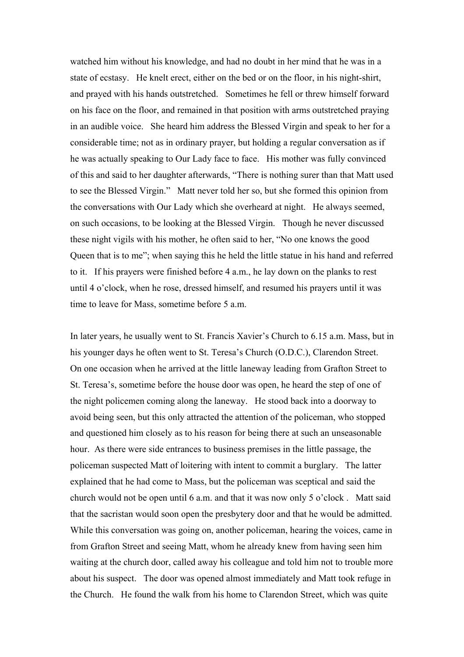watched him without his knowledge, and had no doubt in her mind that he was in a state of ecstasy. He knelt erect, either on the bed or on the floor, in his night-shirt, and prayed with his hands outstretched. Sometimes he fell or threw himself forward on his face on the floor, and remained in that position with arms outstretched praying in an audible voice. She heard him address the Blessed Virgin and speak to her for a considerable time; not as in ordinary prayer, but holding a regular conversation as if he was actually speaking to Our Lady face to face. His mother was fully convinced of this and said to her daughter afterwards, "There is nothing surer than that Matt used to see the Blessed Virgin." Matt never told her so, but she formed this opinion from the conversations with Our Lady which she overheard at night. He always seemed, on such occasions, to be looking at the Blessed Virgin. Though he never discussed these night vigils with his mother, he often said to her, "No one knows the good Queen that is to me"; when saying this he held the little statue in his hand and referred to it. If his prayers were finished before 4 a.m., he lay down on the planks to rest until 4 o'clock, when he rose, dressed himself, and resumed his prayers until it was time to leave for Mass, sometime before 5 a.m.

In later years, he usually went to St. Francis Xavier's Church to 6.15 a.m. Mass, but in his younger days he often went to St. Teresa's Church (O.D.C.), Clarendon Street. On one occasion when he arrived at the little laneway leading from Grafton Street to St. Teresa's, sometime before the house door was open, he heard the step of one of the night policemen coming along the laneway. He stood back into a doorway to avoid being seen, but this only attracted the attention of the policeman, who stopped and questioned him closely as to his reason for being there at such an unseasonable hour. As there were side entrances to business premises in the little passage, the policeman suspected Matt of loitering with intent to commit a burglary. The latter explained that he had come to Mass, but the policeman was sceptical and said the church would not be open until 6 a.m. and that it was now only 5 o'clock . Matt said that the sacristan would soon open the presbytery door and that he would be admitted. While this conversation was going on, another policeman, hearing the voices, came in from Grafton Street and seeing Matt, whom he already knew from having seen him waiting at the church door, called away his colleague and told him not to trouble more about his suspect. The door was opened almost immediately and Matt took refuge in the Church. He found the walk from his home to Clarendon Street, which was quite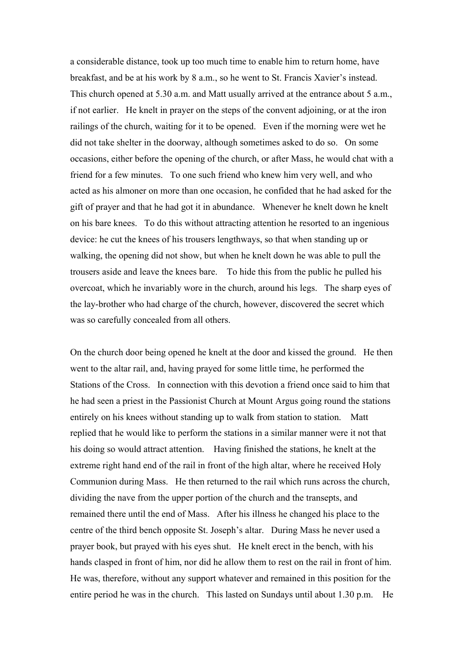a considerable distance, took up too much time to enable him to return home, have breakfast, and be at his work by 8 a.m., so he went to St. Francis Xavier's instead. This church opened at 5.30 a.m. and Matt usually arrived at the entrance about 5 a.m., if not earlier. He knelt in prayer on the steps of the convent adjoining, or at the iron railings of the church, waiting for it to be opened. Even if the morning were wet he did not take shelter in the doorway, although sometimes asked to do so. On some occasions, either before the opening of the church, or after Mass, he would chat with a friend for a few minutes. To one such friend who knew him very well, and who acted as his almoner on more than one occasion, he confided that he had asked for the gift of prayer and that he had got it in abundance. Whenever he knelt down he knelt on his bare knees. To do this without attracting attention he resorted to an ingenious device: he cut the knees of his trousers lengthways, so that when standing up or walking, the opening did not show, but when he knelt down he was able to pull the trousers aside and leave the knees bare. To hide this from the public he pulled his overcoat, which he invariably wore in the church, around his legs. The sharp eyes of the lay-brother who had charge of the church, however, discovered the secret which was so carefully concealed from all others.

On the church door being opened he knelt at the door and kissed the ground. He then went to the altar rail, and, having prayed for some little time, he performed the Stations of the Cross. In connection with this devotion a friend once said to him that he had seen a priest in the Passionist Church at Mount Argus going round the stations entirely on his knees without standing up to walk from station to station. Matt replied that he would like to perform the stations in a similar manner were it not that his doing so would attract attention. Having finished the stations, he knelt at the extreme right hand end of the rail in front of the high altar, where he received Holy Communion during Mass. He then returned to the rail which runs across the church, dividing the nave from the upper portion of the church and the transepts, and remained there until the end of Mass. After his illness he changed his place to the centre of the third bench opposite St. Joseph's altar. During Mass he never used a prayer book, but prayed with his eyes shut. He knelt erect in the bench, with his hands clasped in front of him, nor did he allow them to rest on the rail in front of him. He was, therefore, without any support whatever and remained in this position for the entire period he was in the church. This lasted on Sundays until about 1.30 p.m. He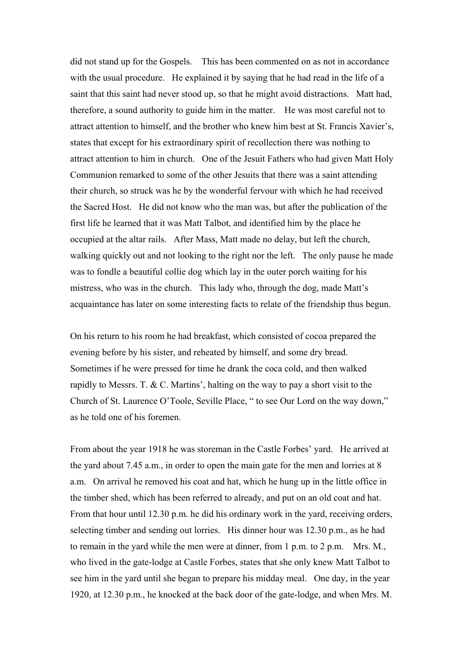did not stand up for the Gospels. This has been commented on as not in accordance with the usual procedure. He explained it by saying that he had read in the life of a saint that this saint had never stood up, so that he might avoid distractions. Matt had, therefore, a sound authority to guide him in the matter. He was most careful not to attract attention to himself, and the brother who knew him best at St. Francis Xavier's, states that except for his extraordinary spirit of recollection there was nothing to attract attention to him in church. One of the Jesuit Fathers who had given Matt Holy Communion remarked to some of the other Jesuits that there was a saint attending their church, so struck was he by the wonderful fervour with which he had received the Sacred Host. He did not know who the man was, but after the publication of the first life he learned that it was Matt Talbot, and identified him by the place he occupied at the altar rails. After Mass, Matt made no delay, but left the church, walking quickly out and not looking to the right nor the left. The only pause he made was to fondle a beautiful collie dog which lay in the outer porch waiting for his mistress, who was in the church. This lady who, through the dog, made Matt's acquaintance has later on some interesting facts to relate of the friendship thus begun.

On his return to his room he had breakfast, which consisted of cocoa prepared the evening before by his sister, and reheated by himself, and some dry bread. Sometimes if he were pressed for time he drank the coca cold, and then walked rapidly to Messrs. T. & C. Martins', halting on the way to pay a short visit to the Church of St. Laurence O'Toole, Seville Place, " to see Our Lord on the way down," as he told one of his foremen.

From about the year 1918 he was storeman in the Castle Forbes' yard. He arrived at the yard about 7.45 a.m., in order to open the main gate for the men and lorries at 8 a.m. On arrival he removed his coat and hat, which he hung up in the little office in the timber shed, which has been referred to already, and put on an old coat and hat. From that hour until 12.30 p.m. he did his ordinary work in the yard, receiving orders, selecting timber and sending out lorries. His dinner hour was 12.30 p.m., as he had to remain in the yard while the men were at dinner, from 1 p.m. to 2 p.m. Mrs. M., who lived in the gate-lodge at Castle Forbes, states that she only knew Matt Talbot to see him in the yard until she began to prepare his midday meal. One day, in the year 1920, at 12.30 p.m., he knocked at the back door of the gate-lodge, and when Mrs. M.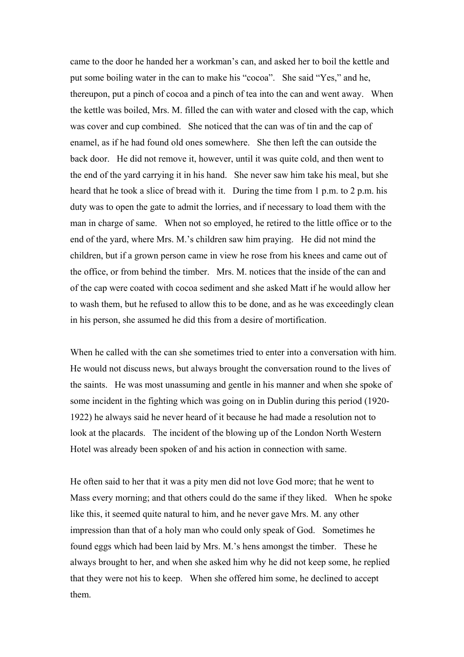came to the door he handed her a workman's can, and asked her to boil the kettle and put some boiling water in the can to make his "cocoa". She said "Yes," and he, thereupon, put a pinch of cocoa and a pinch of tea into the can and went away. When the kettle was boiled, Mrs. M. filled the can with water and closed with the cap, which was cover and cup combined. She noticed that the can was of tin and the cap of enamel, as if he had found old ones somewhere. She then left the can outside the back door. He did not remove it, however, until it was quite cold, and then went to the end of the yard carrying it in his hand. She never saw him take his meal, but she heard that he took a slice of bread with it. During the time from 1 p.m. to 2 p.m. his duty was to open the gate to admit the lorries, and if necessary to load them with the man in charge of same. When not so employed, he retired to the little office or to the end of the yard, where Mrs. M.'s children saw him praying. He did not mind the children, but if a grown person came in view he rose from his knees and came out of the office, or from behind the timber. Mrs. M. notices that the inside of the can and of the cap were coated with cocoa sediment and she asked Matt if he would allow her to wash them, but he refused to allow this to be done, and as he was exceedingly clean in his person, she assumed he did this from a desire of mortification.

When he called with the can she sometimes tried to enter into a conversation with him. He would not discuss news, but always brought the conversation round to the lives of the saints. He was most unassuming and gentle in his manner and when she spoke of some incident in the fighting which was going on in Dublin during this period (1920- 1922) he always said he never heard of it because he had made a resolution not to look at the placards. The incident of the blowing up of the London North Western Hotel was already been spoken of and his action in connection with same.

He often said to her that it was a pity men did not love God more; that he went to Mass every morning; and that others could do the same if they liked. When he spoke like this, it seemed quite natural to him, and he never gave Mrs. M. any other impression than that of a holy man who could only speak of God. Sometimes he found eggs which had been laid by Mrs. M.'s hens amongst the timber. These he always brought to her, and when she asked him why he did not keep some, he replied that they were not his to keep. When she offered him some, he declined to accept them.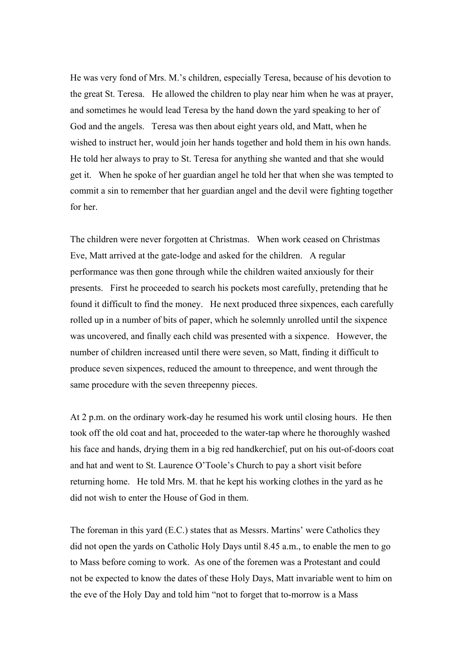He was very fond of Mrs. M.'s children, especially Teresa, because of his devotion to the great St. Teresa. He allowed the children to play near him when he was at prayer, and sometimes he would lead Teresa by the hand down the yard speaking to her of God and the angels. Teresa was then about eight years old, and Matt, when he wished to instruct her, would join her hands together and hold them in his own hands. He told her always to pray to St. Teresa for anything she wanted and that she would get it. When he spoke of her guardian angel he told her that when she was tempted to commit a sin to remember that her guardian angel and the devil were fighting together for her.

The children were never forgotten at Christmas. When work ceased on Christmas Eve, Matt arrived at the gate-lodge and asked for the children. A regular performance was then gone through while the children waited anxiously for their presents. First he proceeded to search his pockets most carefully, pretending that he found it difficult to find the money. He next produced three sixpences, each carefully rolled up in a number of bits of paper, which he solemnly unrolled until the sixpence was uncovered, and finally each child was presented with a sixpence. However, the number of children increased until there were seven, so Matt, finding it difficult to produce seven sixpences, reduced the amount to threepence, and went through the same procedure with the seven threepenny pieces.

At 2 p.m. on the ordinary work-day he resumed his work until closing hours. He then took off the old coat and hat, proceeded to the water-tap where he thoroughly washed his face and hands, drying them in a big red handkerchief, put on his out-of-doors coat and hat and went to St. Laurence O'Toole's Church to pay a short visit before returning home. He told Mrs. M. that he kept his working clothes in the yard as he did not wish to enter the House of God in them.

The foreman in this yard (E.C.) states that as Messrs. Martins' were Catholics they did not open the yards on Catholic Holy Days until 8.45 a.m., to enable the men to go to Mass before coming to work. As one of the foremen was a Protestant and could not be expected to know the dates of these Holy Days, Matt invariable went to him on the eve of the Holy Day and told him "not to forget that to-morrow is a Mass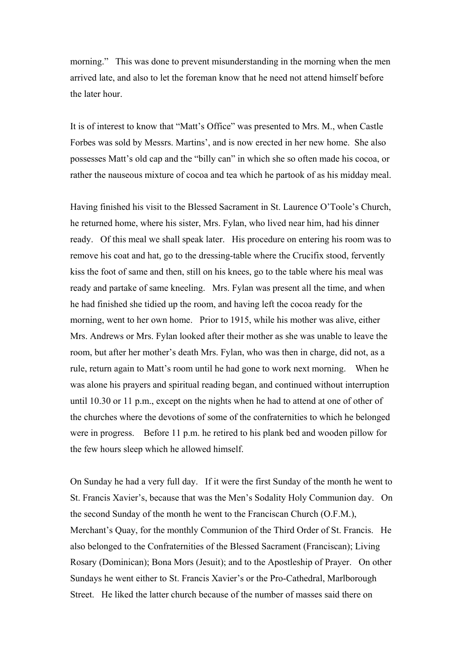morning." This was done to prevent misunderstanding in the morning when the men arrived late, and also to let the foreman know that he need not attend himself before the later hour.

It is of interest to know that "Matt's Office" was presented to Mrs. M., when Castle Forbes was sold by Messrs. Martins', and is now erected in her new home. She also possesses Matt's old cap and the "billy can" in which she so often made his cocoa, or rather the nauseous mixture of cocoa and tea which he partook of as his midday meal.

Having finished his visit to the Blessed Sacrament in St. Laurence O'Toole's Church, he returned home, where his sister, Mrs. Fylan, who lived near him, had his dinner ready. Of this meal we shall speak later. His procedure on entering his room was to remove his coat and hat, go to the dressing-table where the Crucifix stood, fervently kiss the foot of same and then, still on his knees, go to the table where his meal was ready and partake of same kneeling. Mrs. Fylan was present all the time, and when he had finished she tidied up the room, and having left the cocoa ready for the morning, went to her own home. Prior to 1915, while his mother was alive, either Mrs. Andrews or Mrs. Fylan looked after their mother as she was unable to leave the room, but after her mother's death Mrs. Fylan, who was then in charge, did not, as a rule, return again to Matt's room until he had gone to work next morning. When he was alone his prayers and spiritual reading began, and continued without interruption until 10.30 or 11 p.m., except on the nights when he had to attend at one of other of the churches where the devotions of some of the confraternities to which he belonged were in progress. Before 11 p.m. he retired to his plank bed and wooden pillow for the few hours sleep which he allowed himself.

On Sunday he had a very full day. If it were the first Sunday of the month he went to St. Francis Xavier's, because that was the Men's Sodality Holy Communion day. On the second Sunday of the month he went to the Franciscan Church (O.F.M.), Merchant's Quay, for the monthly Communion of the Third Order of St. Francis. He also belonged to the Confraternities of the Blessed Sacrament (Franciscan); Living Rosary (Dominican); Bona Mors (Jesuit); and to the Apostleship of Prayer. On other Sundays he went either to St. Francis Xavier's or the Pro-Cathedral, Marlborough Street. He liked the latter church because of the number of masses said there on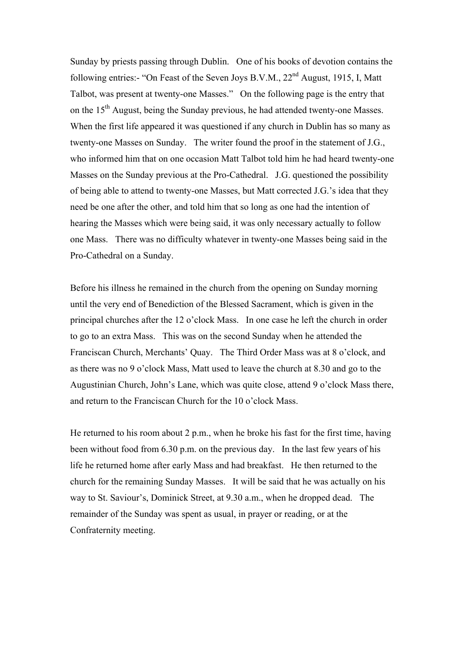Sunday by priests passing through Dublin. One of his books of devotion contains the following entries:- "On Feast of the Seven Joys B.V.M.,  $22<sup>nd</sup>$  August, 1915, I, Matt Talbot, was present at twenty-one Masses." On the following page is the entry that on the 15<sup>th</sup> August, being the Sunday previous, he had attended twenty-one Masses. When the first life appeared it was questioned if any church in Dublin has so many as twenty-one Masses on Sunday. The writer found the proof in the statement of J.G., who informed him that on one occasion Matt Talbot told him he had heard twenty-one Masses on the Sunday previous at the Pro-Cathedral. J.G. questioned the possibility of being able to attend to twenty-one Masses, but Matt corrected J.G.'s idea that they need be one after the other, and told him that so long as one had the intention of hearing the Masses which were being said, it was only necessary actually to follow one Mass. There was no difficulty whatever in twenty-one Masses being said in the Pro-Cathedral on a Sunday.

Before his illness he remained in the church from the opening on Sunday morning until the very end of Benediction of the Blessed Sacrament, which is given in the principal churches after the 12 o'clock Mass. In one case he left the church in order to go to an extra Mass. This was on the second Sunday when he attended the Franciscan Church, Merchants' Quay. The Third Order Mass was at 8 o'clock, and as there was no 9 o'clock Mass, Matt used to leave the church at 8.30 and go to the Augustinian Church, John's Lane, which was quite close, attend 9 o'clock Mass there, and return to the Franciscan Church for the 10 o'clock Mass.

He returned to his room about 2 p.m., when he broke his fast for the first time, having been without food from 6.30 p.m. on the previous day. In the last few years of his life he returned home after early Mass and had breakfast. He then returned to the church for the remaining Sunday Masses. It will be said that he was actually on his way to St. Saviour's, Dominick Street, at 9.30 a.m., when he dropped dead. The remainder of the Sunday was spent as usual, in prayer or reading, or at the Confraternity meeting.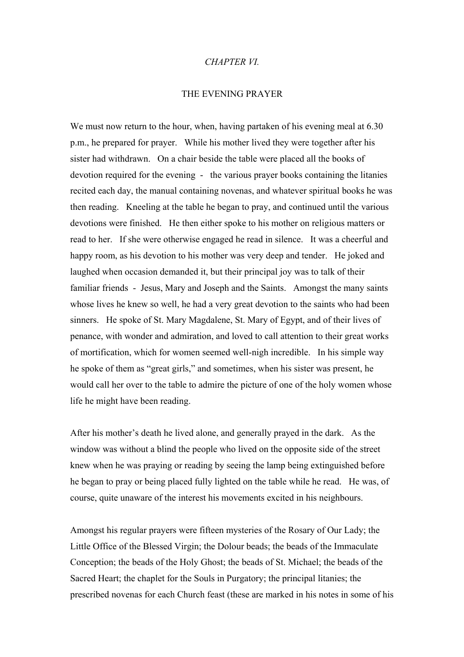#### *CHAPTER VI.*

#### THE EVENING PRAYER

We must now return to the hour, when, having partaken of his evening meal at 6.30 p.m., he prepared for prayer. While his mother lived they were together after his sister had withdrawn. On a chair beside the table were placed all the books of devotion required for the evening - the various prayer books containing the litanies recited each day, the manual containing novenas, and whatever spiritual books he was then reading. Kneeling at the table he began to pray, and continued until the various devotions were finished. He then either spoke to his mother on religious matters or read to her. If she were otherwise engaged he read in silence. It was a cheerful and happy room, as his devotion to his mother was very deep and tender. He joked and laughed when occasion demanded it, but their principal joy was to talk of their familiar friends - Jesus, Mary and Joseph and the Saints. Amongst the many saints whose lives he knew so well, he had a very great devotion to the saints who had been sinners. He spoke of St. Mary Magdalene, St. Mary of Egypt, and of their lives of penance, with wonder and admiration, and loved to call attention to their great works of mortification, which for women seemed well-nigh incredible. In his simple way he spoke of them as "great girls," and sometimes, when his sister was present, he would call her over to the table to admire the picture of one of the holy women whose life he might have been reading.

After his mother's death he lived alone, and generally prayed in the dark. As the window was without a blind the people who lived on the opposite side of the street knew when he was praying or reading by seeing the lamp being extinguished before he began to pray or being placed fully lighted on the table while he read. He was, of course, quite unaware of the interest his movements excited in his neighbours.

Amongst his regular prayers were fifteen mysteries of the Rosary of Our Lady; the Little Office of the Blessed Virgin; the Dolour beads; the beads of the Immaculate Conception; the beads of the Holy Ghost; the beads of St. Michael; the beads of the Sacred Heart; the chaplet for the Souls in Purgatory; the principal litanies; the prescribed novenas for each Church feast (these are marked in his notes in some of his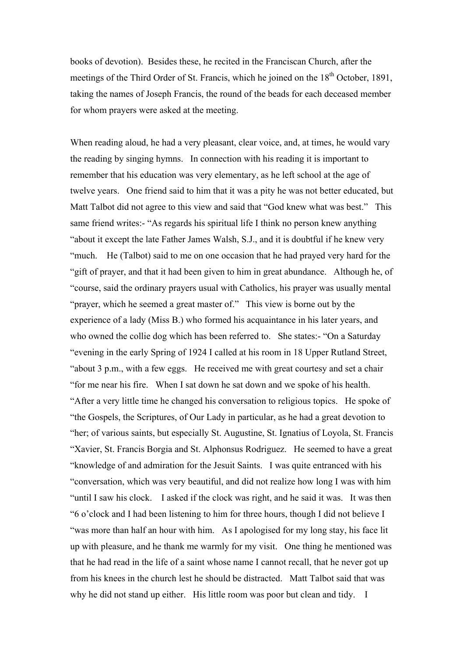books of devotion). Besides these, he recited in the Franciscan Church, after the meetings of the Third Order of St. Francis, which he joined on the  $18<sup>th</sup>$  October, 1891, taking the names of Joseph Francis, the round of the beads for each deceased member for whom prayers were asked at the meeting.

When reading aloud, he had a very pleasant, clear voice, and, at times, he would vary the reading by singing hymns. In connection with his reading it is important to remember that his education was very elementary, as he left school at the age of twelve years. One friend said to him that it was a pity he was not better educated, but Matt Talbot did not agree to this view and said that "God knew what was best." This same friend writes:- "As regards his spiritual life I think no person knew anything "about it except the late Father James Walsh, S.J., and it is doubtful if he knew very "much. He (Talbot) said to me on one occasion that he had prayed very hard for the "gift of prayer, and that it had been given to him in great abundance. Although he, of "course, said the ordinary prayers usual with Catholics, his prayer was usually mental "prayer, which he seemed a great master of." This view is borne out by the experience of a lady (Miss B.) who formed his acquaintance in his later years, and who owned the collie dog which has been referred to. She states:- "On a Saturday "evening in the early Spring of 1924 I called at his room in 18 Upper Rutland Street, "about 3 p.m., with a few eggs. He received me with great courtesy and set a chair "for me near his fire. When I sat down he sat down and we spoke of his health. "After a very little time he changed his conversation to religious topics. He spoke of "the Gospels, the Scriptures, of Our Lady in particular, as he had a great devotion to "her; of various saints, but especially St. Augustine, St. Ignatius of Loyola, St. Francis "Xavier, St. Francis Borgia and St. Alphonsus Rodriguez. He seemed to have a great "knowledge of and admiration for the Jesuit Saints. I was quite entranced with his "conversation, which was very beautiful, and did not realize how long I was with him "until I saw his clock. I asked if the clock was right, and he said it was. It was then "6 o'clock and I had been listening to him for three hours, though I did not believe I "was more than half an hour with him. As I apologised for my long stay, his face lit up with pleasure, and he thank me warmly for my visit. One thing he mentioned was that he had read in the life of a saint whose name I cannot recall, that he never got up from his knees in the church lest he should be distracted. Matt Talbot said that was why he did not stand up either. His little room was poor but clean and tidy. I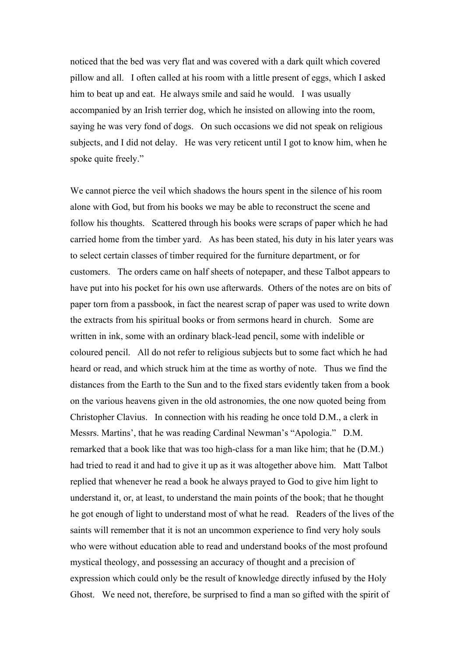noticed that the bed was very flat and was covered with a dark quilt which covered pillow and all. I often called at his room with a little present of eggs, which I asked him to beat up and eat. He always smile and said he would. I was usually accompanied by an Irish terrier dog, which he insisted on allowing into the room, saying he was very fond of dogs. On such occasions we did not speak on religious subjects, and I did not delay. He was very reticent until I got to know him, when he spoke quite freely."

We cannot pierce the veil which shadows the hours spent in the silence of his room alone with God, but from his books we may be able to reconstruct the scene and follow his thoughts. Scattered through his books were scraps of paper which he had carried home from the timber yard. As has been stated, his duty in his later years was to select certain classes of timber required for the furniture department, or for customers. The orders came on half sheets of notepaper, and these Talbot appears to have put into his pocket for his own use afterwards. Others of the notes are on bits of paper torn from a passbook, in fact the nearest scrap of paper was used to write down the extracts from his spiritual books or from sermons heard in church. Some are written in ink, some with an ordinary black-lead pencil, some with indelible or coloured pencil. All do not refer to religious subjects but to some fact which he had heard or read, and which struck him at the time as worthy of note. Thus we find the distances from the Earth to the Sun and to the fixed stars evidently taken from a book on the various heavens given in the old astronomies, the one now quoted being from Christopher Clavius. In connection with his reading he once told D.M., a clerk in Messrs. Martins', that he was reading Cardinal Newman's "Apologia." D.M. remarked that a book like that was too high-class for a man like him; that he (D.M.) had tried to read it and had to give it up as it was altogether above him. Matt Talbot replied that whenever he read a book he always prayed to God to give him light to understand it, or, at least, to understand the main points of the book; that he thought he got enough of light to understand most of what he read. Readers of the lives of the saints will remember that it is not an uncommon experience to find very holy souls who were without education able to read and understand books of the most profound mystical theology, and possessing an accuracy of thought and a precision of expression which could only be the result of knowledge directly infused by the Holy Ghost. We need not, therefore, be surprised to find a man so gifted with the spirit of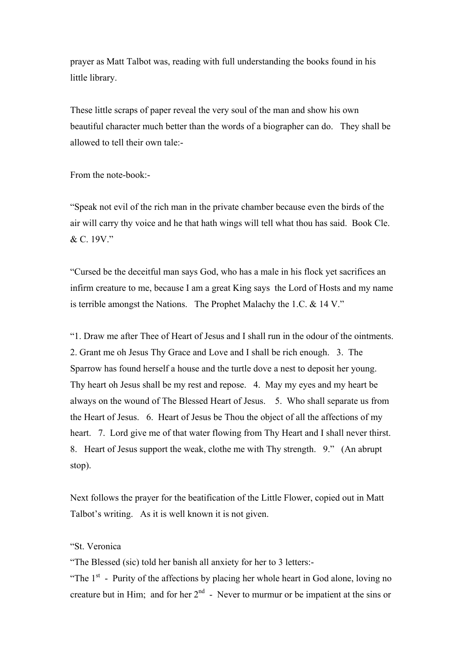prayer as Matt Talbot was, reading with full understanding the books found in his little library.

These little scraps of paper reveal the very soul of the man and show his own beautiful character much better than the words of a biographer can do. They shall be allowed to tell their own tale:-

From the note-book:-

"Speak not evil of the rich man in the private chamber because even the birds of the air will carry thy voice and he that hath wings will tell what thou has said. Book Cle. & C. 19V."

"Cursed be the deceitful man says God, who has a male in his flock yet sacrifices an infirm creature to me, because I am a great King says the Lord of Hosts and my name is terrible amongst the Nations. The Prophet Malachy the 1.C. & 14 V."

"1. Draw me after Thee of Heart of Jesus and I shall run in the odour of the ointments. 2. Grant me oh Jesus Thy Grace and Love and I shall be rich enough. 3. The Sparrow has found herself a house and the turtle dove a nest to deposit her young. Thy heart oh Jesus shall be my rest and repose. 4. May my eyes and my heart be always on the wound of The Blessed Heart of Jesus. 5. Who shall separate us from the Heart of Jesus. 6. Heart of Jesus be Thou the object of all the affections of my heart. 7. Lord give me of that water flowing from Thy Heart and I shall never thirst. 8. Heart of Jesus support the weak, clothe me with Thy strength. 9." (An abrupt stop).

Next follows the prayer for the beatification of the Little Flower, copied out in Matt Talbot's writing. As it is well known it is not given.

#### "St. Veronica

"The Blessed (sic) told her banish all anxiety for her to 3 letters:-

"The  $1<sup>st</sup>$  - Purity of the affections by placing her whole heart in God alone, loving no creature but in Him; and for her  $2<sup>nd</sup>$  - Never to murmur or be impatient at the sins or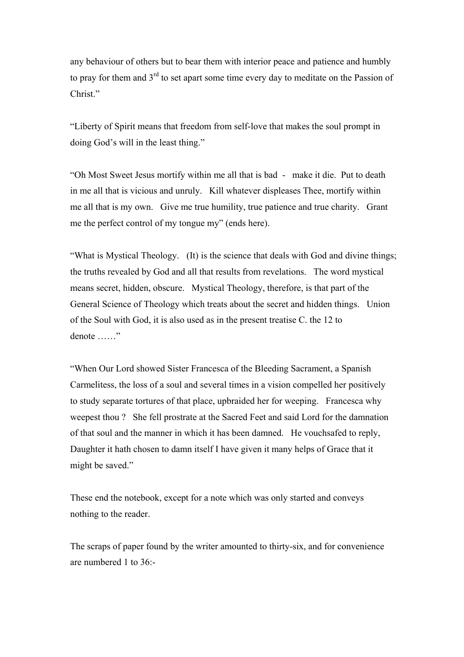any behaviour of others but to bear them with interior peace and patience and humbly to pray for them and  $3<sup>rd</sup>$  to set apart some time every day to meditate on the Passion of Christ."

"Liberty of Spirit means that freedom from self-love that makes the soul prompt in doing God's will in the least thing."

"Oh Most Sweet Jesus mortify within me all that is bad - make it die. Put to death in me all that is vicious and unruly. Kill whatever displeases Thee, mortify within me all that is my own. Give me true humility, true patience and true charity. Grant me the perfect control of my tongue my" (ends here).

"What is Mystical Theology. (It) is the science that deals with God and divine things; the truths revealed by God and all that results from revelations. The word mystical means secret, hidden, obscure. Mystical Theology, therefore, is that part of the General Science of Theology which treats about the secret and hidden things. Union of the Soul with God, it is also used as in the present treatise C. the 12 to denote ……"

"When Our Lord showed Sister Francesca of the Bleeding Sacrament, a Spanish Carmelitess, the loss of a soul and several times in a vision compelled her positively to study separate tortures of that place, upbraided her for weeping. Francesca why weepest thou ? She fell prostrate at the Sacred Feet and said Lord for the damnation of that soul and the manner in which it has been damned. He vouchsafed to reply, Daughter it hath chosen to damn itself I have given it many helps of Grace that it might be saved."

These end the notebook, except for a note which was only started and conveys nothing to the reader.

The scraps of paper found by the writer amounted to thirty-six, and for convenience are numbered 1 to 36:-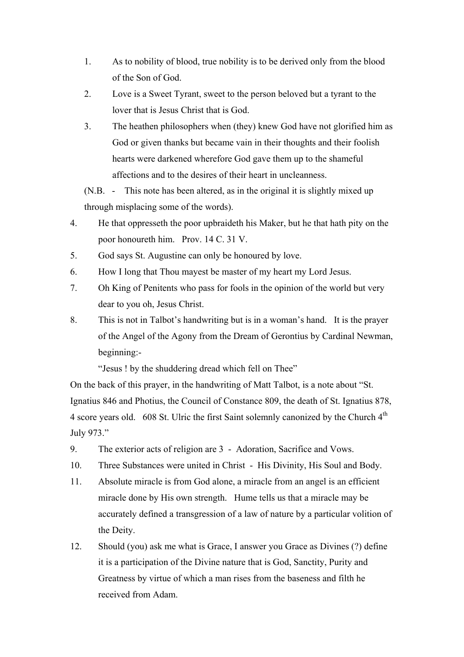- 1. As to nobility of blood, true nobility is to be derived only from the blood of the Son of God.
- 2. Love is a Sweet Tyrant, sweet to the person beloved but a tyrant to the lover that is Jesus Christ that is God.
- 3. The heathen philosophers when (they) knew God have not glorified him as God or given thanks but became vain in their thoughts and their foolish hearts were darkened wherefore God gave them up to the shameful affections and to the desires of their heart in uncleanness.

(N.B. - This note has been altered, as in the original it is slightly mixed up through misplacing some of the words).

- 4. He that oppresseth the poor upbraideth his Maker, but he that hath pity on the poor honoureth him. Prov. 14 C. 31 V.
- 5. God says St. Augustine can only be honoured by love.
- 6. How I long that Thou mayest be master of my heart my Lord Jesus.
- 7. Oh King of Penitents who pass for fools in the opinion of the world but very dear to you oh, Jesus Christ.
- 8. This is not in Talbot's handwriting but is in a woman's hand. It is the prayer of the Angel of the Agony from the Dream of Gerontius by Cardinal Newman, beginning:-

"Jesus ! by the shuddering dread which fell on Thee"

On the back of this prayer, in the handwriting of Matt Talbot, is a note about "St. Ignatius 846 and Photius, the Council of Constance 809, the death of St. Ignatius 878, 4 score years old. 608 St. Ulric the first Saint solemnly canonized by the Church 4<sup>th</sup> July 973."

- 9. The exterior acts of religion are 3 Adoration, Sacrifice and Vows.
- 10. Three Substances were united in Christ His Divinity, His Soul and Body.
- 11. Absolute miracle is from God alone, a miracle from an angel is an efficient miracle done by His own strength. Hume tells us that a miracle may be accurately defined a transgression of a law of nature by a particular volition of the Deity.
- 12. Should (you) ask me what is Grace, I answer you Grace as Divines (?) define it is a participation of the Divine nature that is God, Sanctity, Purity and Greatness by virtue of which a man rises from the baseness and filth he received from Adam.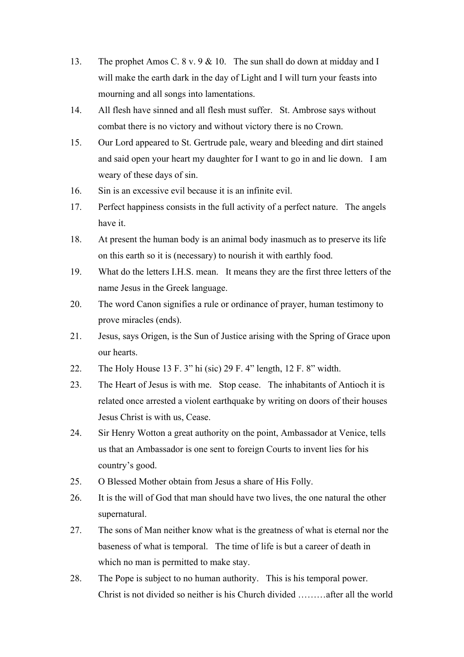- 13. The prophet Amos C. 8 v. 9 & 10. The sun shall do down at midday and I will make the earth dark in the day of Light and I will turn your feasts into mourning and all songs into lamentations.
- 14. All flesh have sinned and all flesh must suffer. St. Ambrose says without combat there is no victory and without victory there is no Crown.
- 15. Our Lord appeared to St. Gertrude pale, weary and bleeding and dirt stained and said open your heart my daughter for I want to go in and lie down. I am weary of these days of sin.
- 16. Sin is an excessive evil because it is an infinite evil.
- 17. Perfect happiness consists in the full activity of a perfect nature. The angels have it.
- 18. At present the human body is an animal body inasmuch as to preserve its life on this earth so it is (necessary) to nourish it with earthly food.
- 19. What do the letters I.H.S. mean. It means they are the first three letters of the name Jesus in the Greek language.
- 20. The word Canon signifies a rule or ordinance of prayer, human testimony to prove miracles (ends).
- 21. Jesus, says Origen, is the Sun of Justice arising with the Spring of Grace upon our hearts.
- 22. The Holy House 13 F. 3" hi (sic) 29 F. 4" length, 12 F. 8" width.
- 23. The Heart of Jesus is with me. Stop cease. The inhabitants of Antioch it is related once arrested a violent earthquake by writing on doors of their houses Jesus Christ is with us, Cease.
- 24. Sir Henry Wotton a great authority on the point, Ambassador at Venice, tells us that an Ambassador is one sent to foreign Courts to invent lies for his country's good.
- 25. O Blessed Mother obtain from Jesus a share of His Folly.
- 26. It is the will of God that man should have two lives, the one natural the other supernatural.
- 27. The sons of Man neither know what is the greatness of what is eternal nor the baseness of what is temporal. The time of life is but a career of death in which no man is permitted to make stay.
- 28. The Pope is subject to no human authority. This is his temporal power. Christ is not divided so neither is his Church divided ………after all the world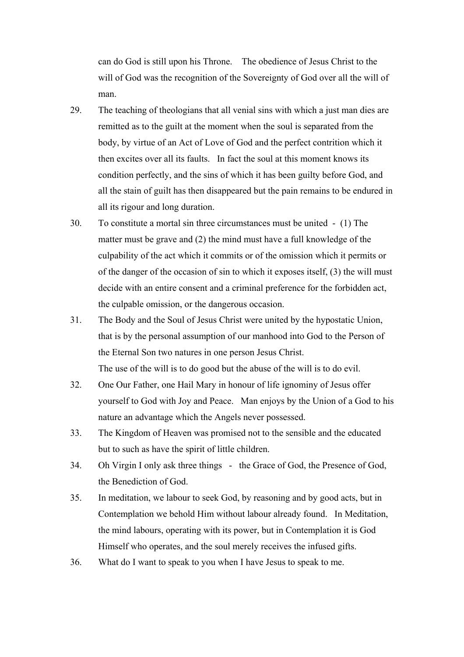can do God is still upon his Throne. The obedience of Jesus Christ to the will of God was the recognition of the Sovereignty of God over all the will of man.

- 29. The teaching of theologians that all venial sins with which a just man dies are remitted as to the guilt at the moment when the soul is separated from the body, by virtue of an Act of Love of God and the perfect contrition which it then excites over all its faults. In fact the soul at this moment knows its condition perfectly, and the sins of which it has been guilty before God, and all the stain of guilt has then disappeared but the pain remains to be endured in all its rigour and long duration.
- 30. To constitute a mortal sin three circumstances must be united (1) The matter must be grave and (2) the mind must have a full knowledge of the culpability of the act which it commits or of the omission which it permits or of the danger of the occasion of sin to which it exposes itself, (3) the will must decide with an entire consent and a criminal preference for the forbidden act, the culpable omission, or the dangerous occasion.
- 31. The Body and the Soul of Jesus Christ were united by the hypostatic Union, that is by the personal assumption of our manhood into God to the Person of the Eternal Son two natures in one person Jesus Christ. The use of the will is to do good but the abuse of the will is to do evil.
- 32. One Our Father, one Hail Mary in honour of life ignominy of Jesus offer yourself to God with Joy and Peace. Man enjoys by the Union of a God to his nature an advantage which the Angels never possessed.
- 33. The Kingdom of Heaven was promised not to the sensible and the educated but to such as have the spirit of little children.
- 34. Oh Virgin I only ask three things the Grace of God, the Presence of God, the Benediction of God.
- 35. In meditation, we labour to seek God, by reasoning and by good acts, but in Contemplation we behold Him without labour already found. In Meditation, the mind labours, operating with its power, but in Contemplation it is God Himself who operates, and the soul merely receives the infused gifts.
- 36. What do I want to speak to you when I have Jesus to speak to me.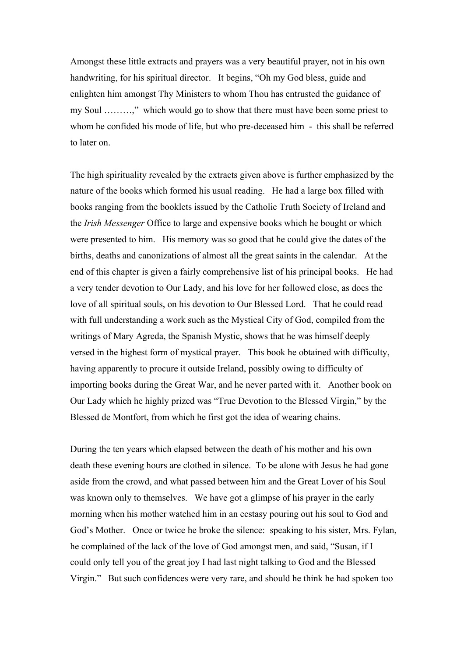Amongst these little extracts and prayers was a very beautiful prayer, not in his own handwriting, for his spiritual director. It begins, "Oh my God bless, guide and enlighten him amongst Thy Ministers to whom Thou has entrusted the guidance of my Soul ………," which would go to show that there must have been some priest to whom he confided his mode of life, but who pre-deceased him - this shall be referred to later on.

The high spirituality revealed by the extracts given above is further emphasized by the nature of the books which formed his usual reading. He had a large box filled with books ranging from the booklets issued by the Catholic Truth Society of Ireland and the *Irish Messenger* Office to large and expensive books which he bought or which were presented to him. His memory was so good that he could give the dates of the births, deaths and canonizations of almost all the great saints in the calendar. At the end of this chapter is given a fairly comprehensive list of his principal books. He had a very tender devotion to Our Lady, and his love for her followed close, as does the love of all spiritual souls, on his devotion to Our Blessed Lord. That he could read with full understanding a work such as the Mystical City of God, compiled from the writings of Mary Agreda, the Spanish Mystic, shows that he was himself deeply versed in the highest form of mystical prayer. This book he obtained with difficulty, having apparently to procure it outside Ireland, possibly owing to difficulty of importing books during the Great War, and he never parted with it. Another book on Our Lady which he highly prized was "True Devotion to the Blessed Virgin," by the Blessed de Montfort, from which he first got the idea of wearing chains.

During the ten years which elapsed between the death of his mother and his own death these evening hours are clothed in silence. To be alone with Jesus he had gone aside from the crowd, and what passed between him and the Great Lover of his Soul was known only to themselves. We have got a glimpse of his prayer in the early morning when his mother watched him in an ecstasy pouring out his soul to God and God's Mother. Once or twice he broke the silence: speaking to his sister, Mrs. Fylan, he complained of the lack of the love of God amongst men, and said, "Susan, if I could only tell you of the great joy I had last night talking to God and the Blessed Virgin." But such confidences were very rare, and should he think he had spoken too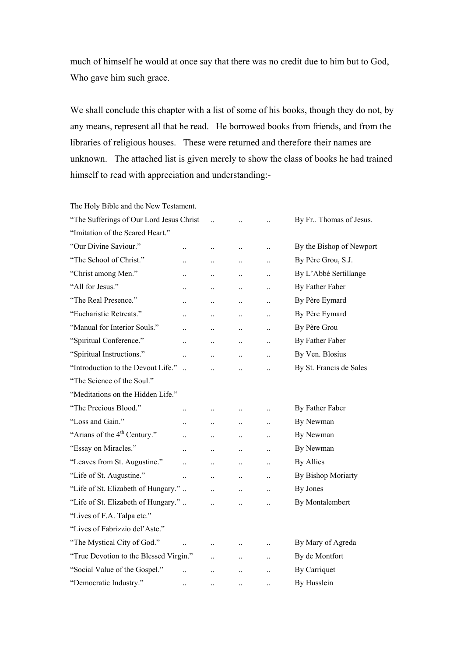much of himself he would at once say that there was no credit due to him but to God, Who gave him such grace.

We shall conclude this chapter with a list of some of his books, though they do not, by any means, represent all that he read. He borrowed books from friends, and from the libraries of religious houses. These were returned and therefore their names are unknown. The attached list is given merely to show the class of books he had trained himself to read with appreciation and understanding:-

The Holy Bible and the New Testament. "The Sufferings of Our Lord Jesus Christ ... ... ... By Fr.. Thomas of Jesus. "Imitation of the Scared Heart." "Our Divine Saviour." ... ... ... ... By the Bishop of Newport "The School of Christ." ... ... ... ... By Père Grou, S.J. "Christ among Men." ... ... ... ... By L'Abbé Sertillange "All for Jesus." ... ... ... ... ... By Father Faber "The Real Presence." ... ... ... ... ... By Père Eymard "Eucharistic Retreats." ... ... ... ... By Père Eymard "Manual for Interior Souls." ... ... ... ... By Père Grou "Spiritual Conference." ... ... ... ... By Father Faber "Spiritual Instructions." ... ... ... ... By Ven. Blosius "Introduction to the Devout Life." .. .. .. .. By St. Francis de Sales "The Science of the Soul." "Meditations on the Hidden Life." "The Precious Blood." ... ... ... ... By Father Faber "Loss and Gain." ... ... ... ... By Newman "Arians of the  $4^{th}$  Century." ... ... ... ... By Newman "Essay on Miracles." ... ... ... ... By Newman "Leaves from St. Augustine." ... ... ... ... By Allies "Life of St. Augustine." ... ... ... ... By Bishop Moriarty "Life of St. Elizabeth of Hungary." .. . .. .. .. .. By Jones "Life of St. Elizabeth of Hungary." .. ... ... ... By Montalembert "Lives of F.A. Talpa etc." "Lives of Fabrizzio del'Aste." "The Mystical City of God." ... ... ... ... By Mary of Agreda "True Devotion to the Blessed Virgin." ... ... ... By de Montfort "Social Value of the Gospel." ... ... ... ... By Carriquet "Democratic Industry." .. .. .. .. By Husslein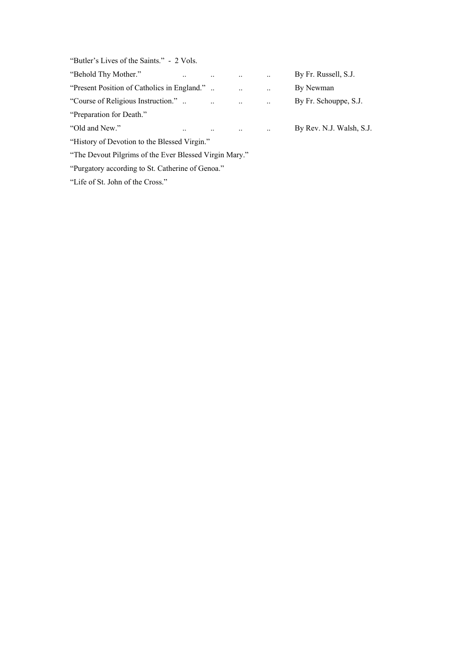"Butler's Lives of the Saints." - 2 Vols.

| "Behold Thy Mother."                                   |  |           |           |           | By Fr. Russell, S.J.     |
|--------------------------------------------------------|--|-----------|-----------|-----------|--------------------------|
| "Present Position of Catholics in England."            |  |           | $\ddotsc$ | $\ddotsc$ | By Newman                |
| "Course of Religious Instruction.".                    |  | $\ddotsc$ | $\ddotsc$ | $\ddotsc$ | By Fr. Schouppe, S.J.    |
| "Preparation for Death."                               |  |           |           |           |                          |
| "Old and New."                                         |  | $\ddotsc$ |           | $\ddotsc$ | By Rev. N.J. Walsh, S.J. |
| "History of Devotion to the Blessed Virgin."           |  |           |           |           |                          |
| "The Devout Pilgrims of the Ever Blessed Virgin Mary." |  |           |           |           |                          |

"Purgatory according to St. Catherine of Genoa."

"Life of St. John of the Cross."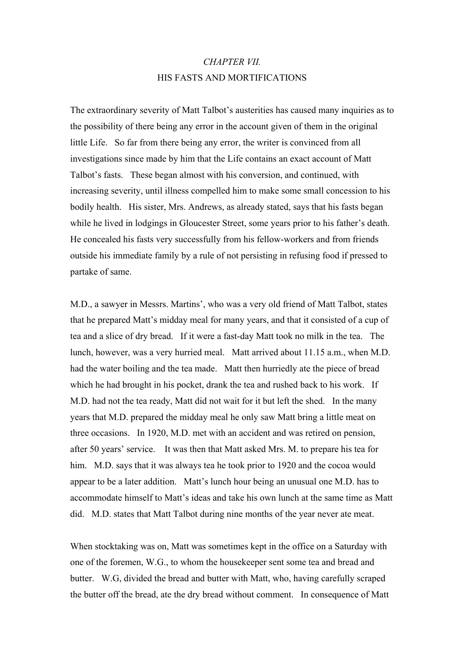# *CHAPTER VII.* HIS FASTS AND MORTIFICATIONS

The extraordinary severity of Matt Talbot's austerities has caused many inquiries as to the possibility of there being any error in the account given of them in the original little Life. So far from there being any error, the writer is convinced from all investigations since made by him that the Life contains an exact account of Matt Talbot's fasts. These began almost with his conversion, and continued, with increasing severity, until illness compelled him to make some small concession to his bodily health. His sister, Mrs. Andrews, as already stated, says that his fasts began while he lived in lodgings in Gloucester Street, some years prior to his father's death. He concealed his fasts very successfully from his fellow-workers and from friends outside his immediate family by a rule of not persisting in refusing food if pressed to partake of same.

M.D., a sawyer in Messrs. Martins', who was a very old friend of Matt Talbot, states that he prepared Matt's midday meal for many years, and that it consisted of a cup of tea and a slice of dry bread. If it were a fast-day Matt took no milk in the tea. The lunch, however, was a very hurried meal. Matt arrived about 11.15 a.m., when M.D. had the water boiling and the tea made. Matt then hurriedly ate the piece of bread which he had brought in his pocket, drank the tea and rushed back to his work. If M.D. had not the tea ready, Matt did not wait for it but left the shed. In the many years that M.D. prepared the midday meal he only saw Matt bring a little meat on three occasions. In 1920, M.D. met with an accident and was retired on pension, after 50 years' service. It was then that Matt asked Mrs. M. to prepare his tea for him. M.D. says that it was always tea he took prior to 1920 and the cocoa would appear to be a later addition. Matt's lunch hour being an unusual one M.D. has to accommodate himself to Matt's ideas and take his own lunch at the same time as Matt did. M.D. states that Matt Talbot during nine months of the year never ate meat.

When stocktaking was on, Matt was sometimes kept in the office on a Saturday with one of the foremen, W.G., to whom the housekeeper sent some tea and bread and butter. W.G, divided the bread and butter with Matt, who, having carefully scraped the butter off the bread, ate the dry bread without comment. In consequence of Matt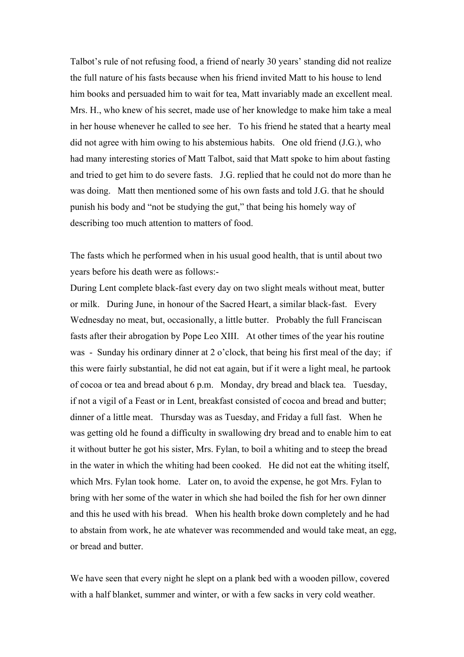Talbot's rule of not refusing food, a friend of nearly 30 years' standing did not realize the full nature of his fasts because when his friend invited Matt to his house to lend him books and persuaded him to wait for tea, Matt invariably made an excellent meal. Mrs. H., who knew of his secret, made use of her knowledge to make him take a meal in her house whenever he called to see her. To his friend he stated that a hearty meal did not agree with him owing to his abstemious habits. One old friend (J.G.), who had many interesting stories of Matt Talbot, said that Matt spoke to him about fasting and tried to get him to do severe fasts. J.G. replied that he could not do more than he was doing. Matt then mentioned some of his own fasts and told J.G. that he should punish his body and "not be studying the gut," that being his homely way of describing too much attention to matters of food.

The fasts which he performed when in his usual good health, that is until about two years before his death were as follows:-

During Lent complete black-fast every day on two slight meals without meat, butter or milk. During June, in honour of the Sacred Heart, a similar black-fast. Every Wednesday no meat, but, occasionally, a little butter. Probably the full Franciscan fasts after their abrogation by Pope Leo XIII. At other times of the year his routine was - Sunday his ordinary dinner at 2 o'clock, that being his first meal of the day; if this were fairly substantial, he did not eat again, but if it were a light meal, he partook of cocoa or tea and bread about 6 p.m. Monday, dry bread and black tea. Tuesday, if not a vigil of a Feast or in Lent, breakfast consisted of cocoa and bread and butter; dinner of a little meat. Thursday was as Tuesday, and Friday a full fast. When he was getting old he found a difficulty in swallowing dry bread and to enable him to eat it without butter he got his sister, Mrs. Fylan, to boil a whiting and to steep the bread in the water in which the whiting had been cooked. He did not eat the whiting itself, which Mrs. Fylan took home. Later on, to avoid the expense, he got Mrs. Fylan to bring with her some of the water in which she had boiled the fish for her own dinner and this he used with his bread. When his health broke down completely and he had to abstain from work, he ate whatever was recommended and would take meat, an egg, or bread and butter.

We have seen that every night he slept on a plank bed with a wooden pillow, covered with a half blanket, summer and winter, or with a few sacks in very cold weather.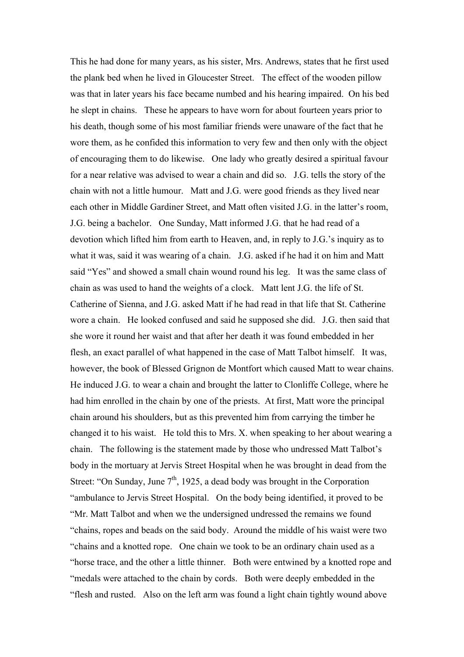This he had done for many years, as his sister, Mrs. Andrews, states that he first used the plank bed when he lived in Gloucester Street. The effect of the wooden pillow was that in later years his face became numbed and his hearing impaired. On his bed he slept in chains. These he appears to have worn for about fourteen years prior to his death, though some of his most familiar friends were unaware of the fact that he wore them, as he confided this information to very few and then only with the object of encouraging them to do likewise. One lady who greatly desired a spiritual favour for a near relative was advised to wear a chain and did so. J.G. tells the story of the chain with not a little humour. Matt and J.G. were good friends as they lived near each other in Middle Gardiner Street, and Matt often visited J.G. in the latter's room, J.G. being a bachelor. One Sunday, Matt informed J.G. that he had read of a devotion which lifted him from earth to Heaven, and, in reply to J.G.'s inquiry as to what it was, said it was wearing of a chain. J.G. asked if he had it on him and Matt said "Yes" and showed a small chain wound round his leg. It was the same class of chain as was used to hand the weights of a clock. Matt lent J.G. the life of St. Catherine of Sienna, and J.G. asked Matt if he had read in that life that St. Catherine wore a chain. He looked confused and said he supposed she did. J.G. then said that she wore it round her waist and that after her death it was found embedded in her flesh, an exact parallel of what happened in the case of Matt Talbot himself. It was, however, the book of Blessed Grignon de Montfort which caused Matt to wear chains. He induced J.G. to wear a chain and brought the latter to Clonliffe College, where he had him enrolled in the chain by one of the priests. At first, Matt wore the principal chain around his shoulders, but as this prevented him from carrying the timber he changed it to his waist. He told this to Mrs. X. when speaking to her about wearing a chain. The following is the statement made by those who undressed Matt Talbot's body in the mortuary at Jervis Street Hospital when he was brought in dead from the Street: "On Sunday, June  $7<sup>th</sup>$ , 1925, a dead body was brought in the Corporation "ambulance to Jervis Street Hospital. On the body being identified, it proved to be "Mr. Matt Talbot and when we the undersigned undressed the remains we found "chains, ropes and beads on the said body. Around the middle of his waist were two "chains and a knotted rope. One chain we took to be an ordinary chain used as a "horse trace, and the other a little thinner. Both were entwined by a knotted rope and "medals were attached to the chain by cords. Both were deeply embedded in the "flesh and rusted. Also on the left arm was found a light chain tightly wound above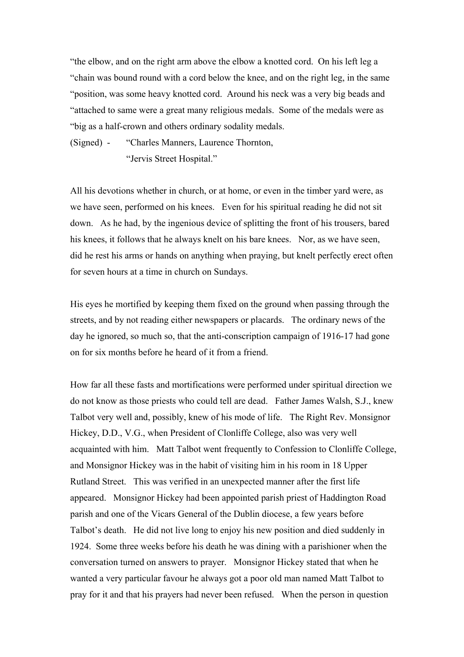"the elbow, and on the right arm above the elbow a knotted cord. On his left leg a "chain was bound round with a cord below the knee, and on the right leg, in the same "position, was some heavy knotted cord. Around his neck was a very big beads and "attached to same were a great many religious medals. Some of the medals were as "big as a half-crown and others ordinary sodality medals.

(Signed) - "Charles Manners, Laurence Thornton, "Jervis Street Hospital."

All his devotions whether in church, or at home, or even in the timber yard were, as we have seen, performed on his knees. Even for his spiritual reading he did not sit down. As he had, by the ingenious device of splitting the front of his trousers, bared his knees, it follows that he always knelt on his bare knees. Nor, as we have seen, did he rest his arms or hands on anything when praying, but knelt perfectly erect often for seven hours at a time in church on Sundays.

His eyes he mortified by keeping them fixed on the ground when passing through the streets, and by not reading either newspapers or placards. The ordinary news of the day he ignored, so much so, that the anti-conscription campaign of 1916-17 had gone on for six months before he heard of it from a friend.

How far all these fasts and mortifications were performed under spiritual direction we do not know as those priests who could tell are dead. Father James Walsh, S.J., knew Talbot very well and, possibly, knew of his mode of life. The Right Rev. Monsignor Hickey, D.D., V.G., when President of Clonliffe College, also was very well acquainted with him. Matt Talbot went frequently to Confession to Clonliffe College, and Monsignor Hickey was in the habit of visiting him in his room in 18 Upper Rutland Street. This was verified in an unexpected manner after the first life appeared. Monsignor Hickey had been appointed parish priest of Haddington Road parish and one of the Vicars General of the Dublin diocese, a few years before Talbot's death. He did not live long to enjoy his new position and died suddenly in 1924. Some three weeks before his death he was dining with a parishioner when the conversation turned on answers to prayer. Monsignor Hickey stated that when he wanted a very particular favour he always got a poor old man named Matt Talbot to pray for it and that his prayers had never been refused. When the person in question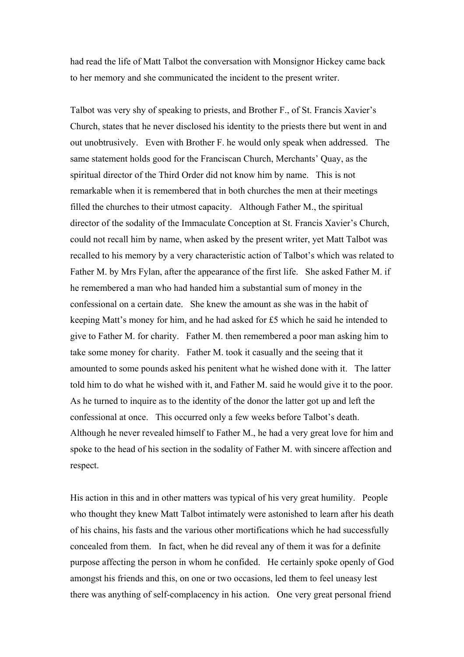had read the life of Matt Talbot the conversation with Monsignor Hickey came back to her memory and she communicated the incident to the present writer.

Talbot was very shy of speaking to priests, and Brother F., of St. Francis Xavier's Church, states that he never disclosed his identity to the priests there but went in and out unobtrusively. Even with Brother F. he would only speak when addressed. The same statement holds good for the Franciscan Church, Merchants' Quay, as the spiritual director of the Third Order did not know him by name. This is not remarkable when it is remembered that in both churches the men at their meetings filled the churches to their utmost capacity. Although Father M., the spiritual director of the sodality of the Immaculate Conception at St. Francis Xavier's Church, could not recall him by name, when asked by the present writer, yet Matt Talbot was recalled to his memory by a very characteristic action of Talbot's which was related to Father M. by Mrs Fylan, after the appearance of the first life. She asked Father M. if he remembered a man who had handed him a substantial sum of money in the confessional on a certain date. She knew the amount as she was in the habit of keeping Matt's money for him, and he had asked for £5 which he said he intended to give to Father M. for charity. Father M. then remembered a poor man asking him to take some money for charity. Father M. took it casually and the seeing that it amounted to some pounds asked his penitent what he wished done with it. The latter told him to do what he wished with it, and Father M. said he would give it to the poor. As he turned to inquire as to the identity of the donor the latter got up and left the confessional at once. This occurred only a few weeks before Talbot's death. Although he never revealed himself to Father M., he had a very great love for him and spoke to the head of his section in the sodality of Father M. with sincere affection and respect.

His action in this and in other matters was typical of his very great humility. People who thought they knew Matt Talbot intimately were astonished to learn after his death of his chains, his fasts and the various other mortifications which he had successfully concealed from them. In fact, when he did reveal any of them it was for a definite purpose affecting the person in whom he confided. He certainly spoke openly of God amongst his friends and this, on one or two occasions, led them to feel uneasy lest there was anything of self-complacency in his action. One very great personal friend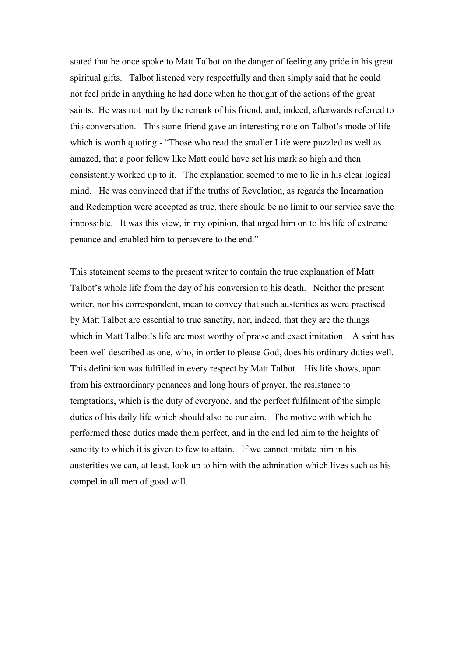stated that he once spoke to Matt Talbot on the danger of feeling any pride in his great spiritual gifts. Talbot listened very respectfully and then simply said that he could not feel pride in anything he had done when he thought of the actions of the great saints. He was not hurt by the remark of his friend, and, indeed, afterwards referred to this conversation. This same friend gave an interesting note on Talbot's mode of life which is worth quoting:- "Those who read the smaller Life were puzzled as well as amazed, that a poor fellow like Matt could have set his mark so high and then consistently worked up to it. The explanation seemed to me to lie in his clear logical mind. He was convinced that if the truths of Revelation, as regards the Incarnation and Redemption were accepted as true, there should be no limit to our service save the impossible. It was this view, in my opinion, that urged him on to his life of extreme penance and enabled him to persevere to the end."

This statement seems to the present writer to contain the true explanation of Matt Talbot's whole life from the day of his conversion to his death. Neither the present writer, nor his correspondent, mean to convey that such austerities as were practised by Matt Talbot are essential to true sanctity, nor, indeed, that they are the things which in Matt Talbot's life are most worthy of praise and exact imitation. A saint has been well described as one, who, in order to please God, does his ordinary duties well. This definition was fulfilled in every respect by Matt Talbot. His life shows, apart from his extraordinary penances and long hours of prayer, the resistance to temptations, which is the duty of everyone, and the perfect fulfilment of the simple duties of his daily life which should also be our aim. The motive with which he performed these duties made them perfect, and in the end led him to the heights of sanctity to which it is given to few to attain. If we cannot imitate him in his austerities we can, at least, look up to him with the admiration which lives such as his compel in all men of good will.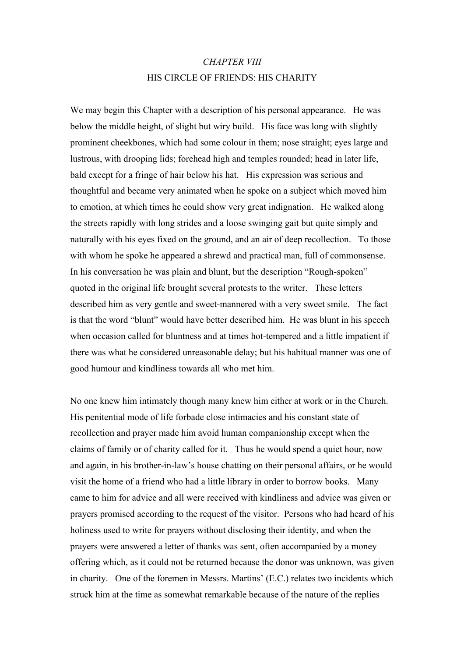# *CHAPTER VIII*  HIS CIRCLE OF FRIENDS: HIS CHARITY

We may begin this Chapter with a description of his personal appearance. He was below the middle height, of slight but wiry build. His face was long with slightly prominent cheekbones, which had some colour in them; nose straight; eyes large and lustrous, with drooping lids; forehead high and temples rounded; head in later life, bald except for a fringe of hair below his hat. His expression was serious and thoughtful and became very animated when he spoke on a subject which moved him to emotion, at which times he could show very great indignation. He walked along the streets rapidly with long strides and a loose swinging gait but quite simply and naturally with his eyes fixed on the ground, and an air of deep recollection. To those with whom he spoke he appeared a shrewd and practical man, full of commonsense. In his conversation he was plain and blunt, but the description "Rough-spoken" quoted in the original life brought several protests to the writer. These letters described him as very gentle and sweet-mannered with a very sweet smile. The fact is that the word "blunt" would have better described him. He was blunt in his speech when occasion called for bluntness and at times hot-tempered and a little impatient if there was what he considered unreasonable delay; but his habitual manner was one of good humour and kindliness towards all who met him.

No one knew him intimately though many knew him either at work or in the Church. His penitential mode of life forbade close intimacies and his constant state of recollection and prayer made him avoid human companionship except when the claims of family or of charity called for it. Thus he would spend a quiet hour, now and again, in his brother-in-law's house chatting on their personal affairs, or he would visit the home of a friend who had a little library in order to borrow books. Many came to him for advice and all were received with kindliness and advice was given or prayers promised according to the request of the visitor. Persons who had heard of his holiness used to write for prayers without disclosing their identity, and when the prayers were answered a letter of thanks was sent, often accompanied by a money offering which, as it could not be returned because the donor was unknown, was given in charity. One of the foremen in Messrs. Martins' (E.C.) relates two incidents which struck him at the time as somewhat remarkable because of the nature of the replies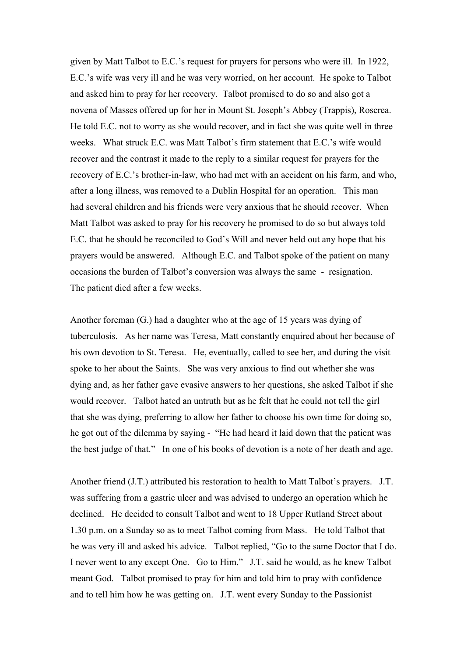given by Matt Talbot to E.C.'s request for prayers for persons who were ill. In 1922, E.C.'s wife was very ill and he was very worried, on her account. He spoke to Talbot and asked him to pray for her recovery. Talbot promised to do so and also got a novena of Masses offered up for her in Mount St. Joseph's Abbey (Trappis), Roscrea. He told E.C. not to worry as she would recover, and in fact she was quite well in three weeks. What struck E.C. was Matt Talbot's firm statement that E.C.'s wife would recover and the contrast it made to the reply to a similar request for prayers for the recovery of E.C.'s brother-in-law, who had met with an accident on his farm, and who, after a long illness, was removed to a Dublin Hospital for an operation. This man had several children and his friends were very anxious that he should recover. When Matt Talbot was asked to pray for his recovery he promised to do so but always told E.C. that he should be reconciled to God's Will and never held out any hope that his prayers would be answered. Although E.C. and Talbot spoke of the patient on many occasions the burden of Talbot's conversion was always the same - resignation. The patient died after a few weeks.

Another foreman (G.) had a daughter who at the age of 15 years was dying of tuberculosis. As her name was Teresa, Matt constantly enquired about her because of his own devotion to St. Teresa. He, eventually, called to see her, and during the visit spoke to her about the Saints. She was very anxious to find out whether she was dying and, as her father gave evasive answers to her questions, she asked Talbot if she would recover. Talbot hated an untruth but as he felt that he could not tell the girl that she was dying, preferring to allow her father to choose his own time for doing so, he got out of the dilemma by saying - "He had heard it laid down that the patient was the best judge of that." In one of his books of devotion is a note of her death and age.

Another friend (J.T.) attributed his restoration to health to Matt Talbot's prayers. J.T. was suffering from a gastric ulcer and was advised to undergo an operation which he declined. He decided to consult Talbot and went to 18 Upper Rutland Street about 1.30 p.m. on a Sunday so as to meet Talbot coming from Mass. He told Talbot that he was very ill and asked his advice. Talbot replied, "Go to the same Doctor that I do. I never went to any except One. Go to Him." J.T. said he would, as he knew Talbot meant God. Talbot promised to pray for him and told him to pray with confidence and to tell him how he was getting on. J.T. went every Sunday to the Passionist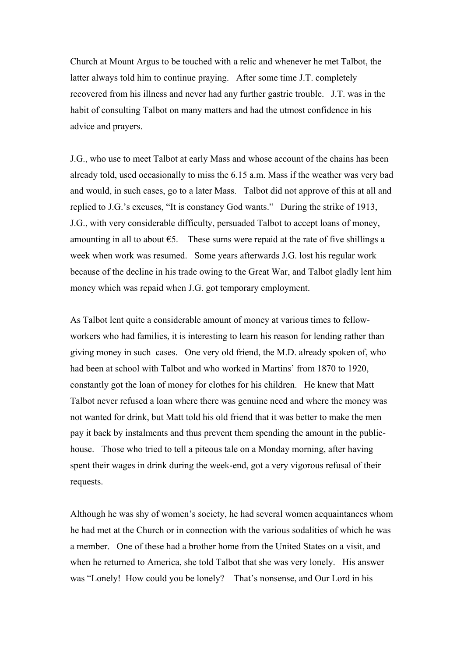Church at Mount Argus to be touched with a relic and whenever he met Talbot, the latter always told him to continue praying. After some time J.T. completely recovered from his illness and never had any further gastric trouble. J.T. was in the habit of consulting Talbot on many matters and had the utmost confidence in his advice and prayers.

J.G., who use to meet Talbot at early Mass and whose account of the chains has been already told, used occasionally to miss the 6.15 a.m. Mass if the weather was very bad and would, in such cases, go to a later Mass. Talbot did not approve of this at all and replied to J.G.'s excuses, "It is constancy God wants." During the strike of 1913, J.G., with very considerable difficulty, persuaded Talbot to accept loans of money, amounting in all to about  $\epsilon$ 5. These sums were repaid at the rate of five shillings a week when work was resumed. Some years afterwards J.G. lost his regular work because of the decline in his trade owing to the Great War, and Talbot gladly lent him money which was repaid when J.G. got temporary employment.

As Talbot lent quite a considerable amount of money at various times to fellowworkers who had families, it is interesting to learn his reason for lending rather than giving money in such cases. One very old friend, the M.D. already spoken of, who had been at school with Talbot and who worked in Martins' from 1870 to 1920, constantly got the loan of money for clothes for his children. He knew that Matt Talbot never refused a loan where there was genuine need and where the money was not wanted for drink, but Matt told his old friend that it was better to make the men pay it back by instalments and thus prevent them spending the amount in the publichouse. Those who tried to tell a piteous tale on a Monday morning, after having spent their wages in drink during the week-end, got a very vigorous refusal of their requests.

Although he was shy of women's society, he had several women acquaintances whom he had met at the Church or in connection with the various sodalities of which he was a member. One of these had a brother home from the United States on a visit, and when he returned to America, she told Talbot that she was very lonely. His answer was "Lonely! How could you be lonely? That's nonsense, and Our Lord in his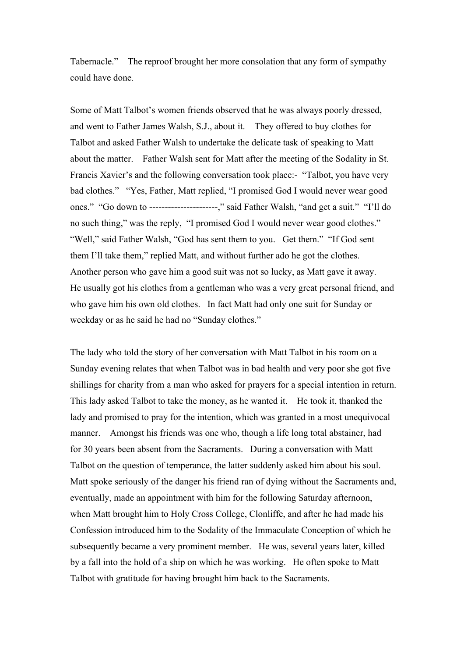Tabernacle." The reproof brought her more consolation that any form of sympathy could have done.

Some of Matt Talbot's women friends observed that he was always poorly dressed, and went to Father James Walsh, S.J., about it. They offered to buy clothes for Talbot and asked Father Walsh to undertake the delicate task of speaking to Matt about the matter. Father Walsh sent for Matt after the meeting of the Sodality in St. Francis Xavier's and the following conversation took place:- "Talbot, you have very bad clothes." "Yes, Father, Matt replied, "I promised God I would never wear good ones." "Go down to ----------------------," said Father Walsh, "and get a suit." "I'll do no such thing," was the reply, "I promised God I would never wear good clothes." "Well," said Father Walsh, "God has sent them to you. Get them." "If God sent them I'll take them," replied Matt, and without further ado he got the clothes. Another person who gave him a good suit was not so lucky, as Matt gave it away. He usually got his clothes from a gentleman who was a very great personal friend, and who gave him his own old clothes. In fact Matt had only one suit for Sunday or weekday or as he said he had no "Sunday clothes."

The lady who told the story of her conversation with Matt Talbot in his room on a Sunday evening relates that when Talbot was in bad health and very poor she got five shillings for charity from a man who asked for prayers for a special intention in return. This lady asked Talbot to take the money, as he wanted it. He took it, thanked the lady and promised to pray for the intention, which was granted in a most unequivocal manner. Amongst his friends was one who, though a life long total abstainer, had for 30 years been absent from the Sacraments. During a conversation with Matt Talbot on the question of temperance, the latter suddenly asked him about his soul. Matt spoke seriously of the danger his friend ran of dying without the Sacraments and, eventually, made an appointment with him for the following Saturday afternoon, when Matt brought him to Holy Cross College, Clonliffe, and after he had made his Confession introduced him to the Sodality of the Immaculate Conception of which he subsequently became a very prominent member. He was, several years later, killed by a fall into the hold of a ship on which he was working. He often spoke to Matt Talbot with gratitude for having brought him back to the Sacraments.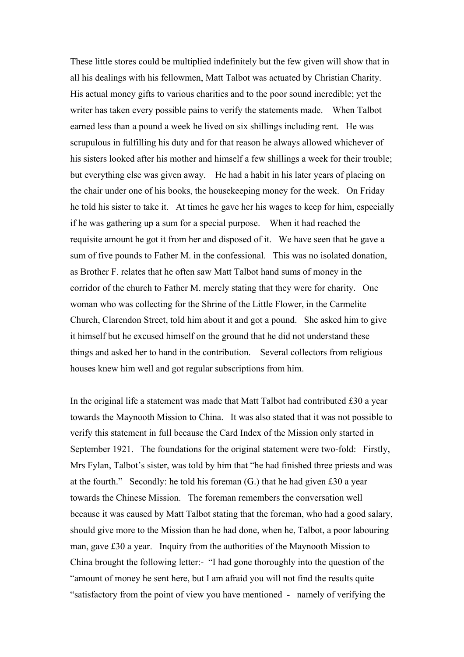These little stores could be multiplied indefinitely but the few given will show that in all his dealings with his fellowmen, Matt Talbot was actuated by Christian Charity. His actual money gifts to various charities and to the poor sound incredible; yet the writer has taken every possible pains to verify the statements made. When Talbot earned less than a pound a week he lived on six shillings including rent. He was scrupulous in fulfilling his duty and for that reason he always allowed whichever of his sisters looked after his mother and himself a few shillings a week for their trouble; but everything else was given away. He had a habit in his later years of placing on the chair under one of his books, the housekeeping money for the week. On Friday he told his sister to take it. At times he gave her his wages to keep for him, especially if he was gathering up a sum for a special purpose. When it had reached the requisite amount he got it from her and disposed of it. We have seen that he gave a sum of five pounds to Father M. in the confessional. This was no isolated donation, as Brother F. relates that he often saw Matt Talbot hand sums of money in the corridor of the church to Father M. merely stating that they were for charity. One woman who was collecting for the Shrine of the Little Flower, in the Carmelite Church, Clarendon Street, told him about it and got a pound. She asked him to give it himself but he excused himself on the ground that he did not understand these things and asked her to hand in the contribution. Several collectors from religious houses knew him well and got regular subscriptions from him.

In the original life a statement was made that Matt Talbot had contributed £30 a year towards the Maynooth Mission to China. It was also stated that it was not possible to verify this statement in full because the Card Index of the Mission only started in September 1921. The foundations for the original statement were two-fold: Firstly, Mrs Fylan, Talbot's sister, was told by him that "he had finished three priests and was at the fourth." Secondly: he told his foreman (G.) that he had given £30 a year towards the Chinese Mission. The foreman remembers the conversation well because it was caused by Matt Talbot stating that the foreman, who had a good salary, should give more to the Mission than he had done, when he, Talbot, a poor labouring man, gave £30 a year. Inquiry from the authorities of the Maynooth Mission to China brought the following letter:- "I had gone thoroughly into the question of the "amount of money he sent here, but I am afraid you will not find the results quite "satisfactory from the point of view you have mentioned - namely of verifying the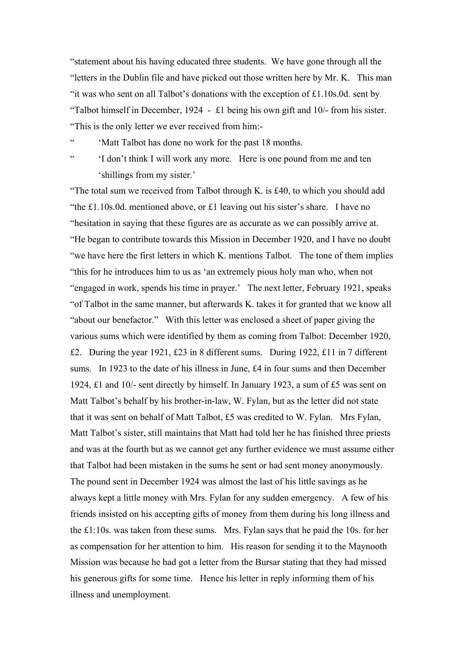"statement about his having educated three students. We have gone through all the "letters in the Dublin file and have picked out those written here by Mr. K. This man "it was who sent on all Talbot's donations with the exception of £1.10s.0d. sent by "Talbot himself in December, 1924 - £1 being his own gift and 10/- from his sister. "This is the only letter we ever received from him:-

" 'Matt Talbot has done no work for the past 18 months.

" 'I don't think I will work any more. Here is one pound from me and ten 'shillings from my sister.'

"The total sum we received from Talbot through K. is £40, to which you should add "the £1.10s.0d. mentioned above, or £1 leaving out his sister's share. I have no "hesitation in saying that these figures are as accurate as we can possibly arrive at. "He began to contribute towards this Mission in December 1920, and I have no doubt "we have here the first letters in which K. mentions Talbot. The tone of them implies "this for he introduces him to us as 'an extremely pious holy man who, when not "engaged in work, spends his time in prayer.' The next letter, February 1921, speaks "of Talbot in the same manner, but afterwards K. takes it for granted that we know all "about our benefactor." With this letter was enclosed a sheet of paper giving the various sums which were identified by them as coming from Talbot: December 1920, £2. During the year 1921, £23 in 8 different sums. During 1922, £11 in 7 different sums. In 1923 to the date of his illness in June, £4 in four sums and then December 1924, £1 and 10/- sent directly by himself. In January 1923, a sum of £5 was sent on Matt Talbot's behalf by his brother-in-law, W. Fylan, but as the letter did not state that it was sent on behalf of Matt Talbot, £5 was credited to W. Fylan. Mrs Fylan, Matt Talbot's sister, still maintains that Matt had told her he has finished three priests and was at the fourth but as we cannot get any further evidence we must assume either that Talbot had been mistaken in the sums he sent or had sent money anonymously. The pound sent in December 1924 was almost the last of his little savings as he always kept a little money with Mrs. Fylan for any sudden emergency. A few of his friends insisted on his accepting gifts of money from them during his long illness and the £1:10s. was taken from these sums. Mrs. Fylan says that he paid the 10s. for her as compensation for her attention to him. His reason for sending it to the Maynooth Mission was because he had got a letter from the Bursar stating that they had missed his generous gifts for some time. Hence his letter in reply informing them of his illness and unemployment.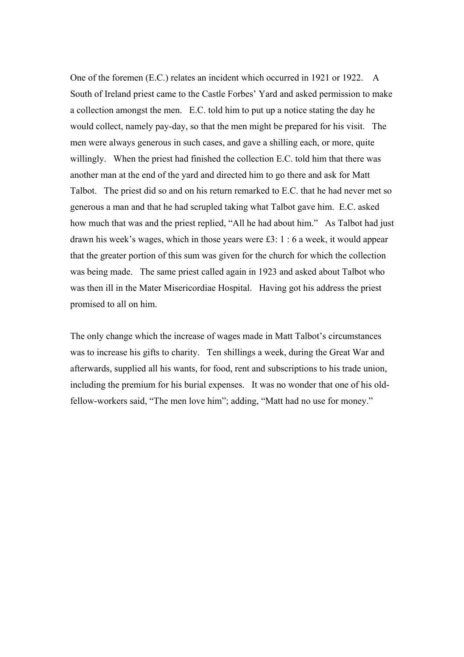One of the foremen (E.C.) relates an incident which occurred in 1921 or 1922. A South of Ireland priest came to the Castle Forbes' Yard and asked permission to make a collection amongst the men. E.C. told him to put up a notice stating the day he would collect, namely pay-day, so that the men might be prepared for his visit. The men were always generous in such cases, and gave a shilling each, or more, quite willingly. When the priest had finished the collection E.C. told him that there was another man at the end of the yard and directed him to go there and ask for Matt Talbot. The priest did so and on his return remarked to E.C. that he had never met so generous a man and that he had scrupled taking what Talbot gave him. E.C. asked how much that was and the priest replied, "All he had about him." As Talbot had just drawn his week's wages, which in those years were £3: 1 : 6 a week, it would appear that the greater portion of this sum was given for the church for which the collection was being made. The same priest called again in 1923 and asked about Talbot who was then ill in the Mater Misericordiae Hospital. Having got his address the priest promised to all on him.

The only change which the increase of wages made in Matt Talbot's circumstances was to increase his gifts to charity. Ten shillings a week, during the Great War and afterwards, supplied all his wants, for food, rent and subscriptions to his trade union, including the premium for his burial expenses. It was no wonder that one of his oldfellow-workers said, "The men love him"; adding, "Matt had no use for money."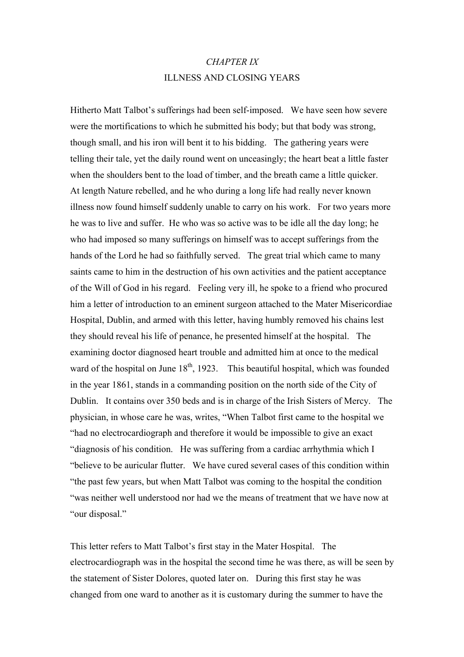# *CHAPTER IX*  ILLNESS AND CLOSING YEARS

Hitherto Matt Talbot's sufferings had been self-imposed. We have seen how severe were the mortifications to which he submitted his body; but that body was strong, though small, and his iron will bent it to his bidding. The gathering years were telling their tale, yet the daily round went on unceasingly; the heart beat a little faster when the shoulders bent to the load of timber, and the breath came a little quicker. At length Nature rebelled, and he who during a long life had really never known illness now found himself suddenly unable to carry on his work. For two years more he was to live and suffer. He who was so active was to be idle all the day long; he who had imposed so many sufferings on himself was to accept sufferings from the hands of the Lord he had so faithfully served. The great trial which came to many saints came to him in the destruction of his own activities and the patient acceptance of the Will of God in his regard. Feeling very ill, he spoke to a friend who procured him a letter of introduction to an eminent surgeon attached to the Mater Misericordiae Hospital, Dublin, and armed with this letter, having humbly removed his chains lest they should reveal his life of penance, he presented himself at the hospital. The examining doctor diagnosed heart trouble and admitted him at once to the medical ward of the hospital on June  $18<sup>th</sup>$ , 1923. This beautiful hospital, which was founded in the year 1861, stands in a commanding position on the north side of the City of Dublin. It contains over 350 beds and is in charge of the Irish Sisters of Mercy. The physician, in whose care he was, writes, "When Talbot first came to the hospital we "had no electrocardiograph and therefore it would be impossible to give an exact "diagnosis of his condition. He was suffering from a cardiac arrhythmia which I "believe to be auricular flutter. We have cured several cases of this condition within "the past few years, but when Matt Talbot was coming to the hospital the condition "was neither well understood nor had we the means of treatment that we have now at "our disposal."

This letter refers to Matt Talbot's first stay in the Mater Hospital. The electrocardiograph was in the hospital the second time he was there, as will be seen by the statement of Sister Dolores, quoted later on. During this first stay he was changed from one ward to another as it is customary during the summer to have the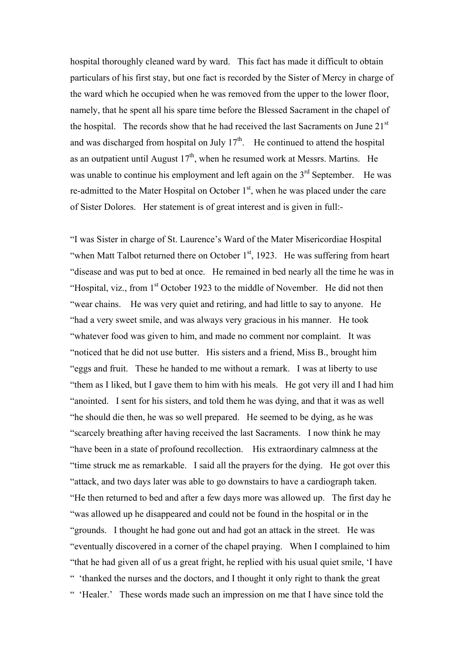hospital thoroughly cleaned ward by ward. This fact has made it difficult to obtain particulars of his first stay, but one fact is recorded by the Sister of Mercy in charge of the ward which he occupied when he was removed from the upper to the lower floor, namely, that he spent all his spare time before the Blessed Sacrament in the chapel of the hospital. The records show that he had received the last Sacraments on June  $21<sup>st</sup>$ and was discharged from hospital on July  $17<sup>th</sup>$ . He continued to attend the hospital as an outpatient until August  $17<sup>th</sup>$ , when he resumed work at Messrs. Martins. He was unable to continue his employment and left again on the  $3<sup>rd</sup>$  September. He was re-admitted to the Mater Hospital on October  $1<sup>st</sup>$ , when he was placed under the care of Sister Dolores. Her statement is of great interest and is given in full:-

"I was Sister in charge of St. Laurence's Ward of the Mater Misericordiae Hospital "when Matt Talbot returned there on October  $1<sup>st</sup>$ , 1923. He was suffering from heart "disease and was put to bed at once. He remained in bed nearly all the time he was in "Hospital, viz., from  $1<sup>st</sup>$  October 1923 to the middle of November. He did not then "wear chains. He was very quiet and retiring, and had little to say to anyone. He "had a very sweet smile, and was always very gracious in his manner. He took "whatever food was given to him, and made no comment nor complaint. It was "noticed that he did not use butter. His sisters and a friend, Miss B., brought him "eggs and fruit. These he handed to me without a remark. I was at liberty to use "them as I liked, but I gave them to him with his meals. He got very ill and I had him "anointed. I sent for his sisters, and told them he was dying, and that it was as well "he should die then, he was so well prepared. He seemed to be dying, as he was "scarcely breathing after having received the last Sacraments. I now think he may "have been in a state of profound recollection. His extraordinary calmness at the "time struck me as remarkable. I said all the prayers for the dying. He got over this "attack, and two days later was able to go downstairs to have a cardiograph taken. "He then returned to bed and after a few days more was allowed up. The first day he "was allowed up he disappeared and could not be found in the hospital or in the "grounds. I thought he had gone out and had got an attack in the street. He was "eventually discovered in a corner of the chapel praying. When I complained to him "that he had given all of us a great fright, he replied with his usual quiet smile, 'I have " 'thanked the nurses and the doctors, and I thought it only right to thank the great " 'Healer.' These words made such an impression on me that I have since told the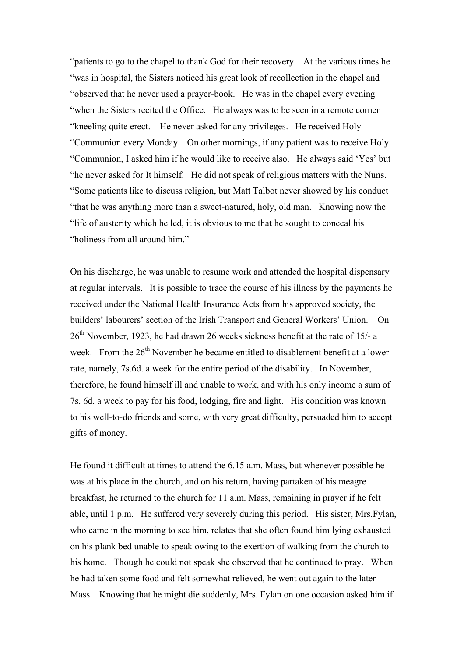"patients to go to the chapel to thank God for their recovery. At the various times he "was in hospital, the Sisters noticed his great look of recollection in the chapel and "observed that he never used a prayer-book. He was in the chapel every evening "when the Sisters recited the Office. He always was to be seen in a remote corner "kneeling quite erect. He never asked for any privileges. He received Holy "Communion every Monday. On other mornings, if any patient was to receive Holy "Communion, I asked him if he would like to receive also. He always said 'Yes' but "he never asked for It himself. He did not speak of religious matters with the Nuns. "Some patients like to discuss religion, but Matt Talbot never showed by his conduct "that he was anything more than a sweet-natured, holy, old man. Knowing now the "life of austerity which he led, it is obvious to me that he sought to conceal his "holiness from all around him."

On his discharge, he was unable to resume work and attended the hospital dispensary at regular intervals. It is possible to trace the course of his illness by the payments he received under the National Health Insurance Acts from his approved society, the builders' labourers' section of the Irish Transport and General Workers' Union. On  $26<sup>th</sup>$  November, 1923, he had drawn 26 weeks sickness benefit at the rate of 15/- a week. From the 26<sup>th</sup> November he became entitled to disablement benefit at a lower rate, namely, 7s.6d. a week for the entire period of the disability. In November, therefore, he found himself ill and unable to work, and with his only income a sum of 7s. 6d. a week to pay for his food, lodging, fire and light. His condition was known to his well-to-do friends and some, with very great difficulty, persuaded him to accept gifts of money.

He found it difficult at times to attend the 6.15 a.m. Mass, but whenever possible he was at his place in the church, and on his return, having partaken of his meagre breakfast, he returned to the church for 11 a.m. Mass, remaining in prayer if he felt able, until 1 p.m. He suffered very severely during this period. His sister, Mrs.Fylan, who came in the morning to see him, relates that she often found him lying exhausted on his plank bed unable to speak owing to the exertion of walking from the church to his home. Though he could not speak she observed that he continued to pray. When he had taken some food and felt somewhat relieved, he went out again to the later Mass. Knowing that he might die suddenly, Mrs. Fylan on one occasion asked him if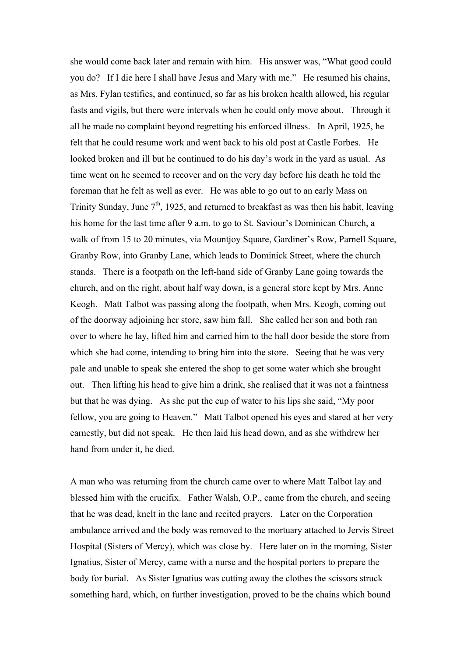she would come back later and remain with him. His answer was, "What good could you do? If I die here I shall have Jesus and Mary with me." He resumed his chains, as Mrs. Fylan testifies, and continued, so far as his broken health allowed, his regular fasts and vigils, but there were intervals when he could only move about. Through it all he made no complaint beyond regretting his enforced illness. In April, 1925, he felt that he could resume work and went back to his old post at Castle Forbes. He looked broken and ill but he continued to do his day's work in the yard as usual. As time went on he seemed to recover and on the very day before his death he told the foreman that he felt as well as ever. He was able to go out to an early Mass on Trinity Sunday, June  $7<sup>th</sup>$ , 1925, and returned to breakfast as was then his habit, leaving his home for the last time after 9 a.m. to go to St. Saviour's Dominican Church, a walk of from 15 to 20 minutes, via Mountjoy Square, Gardiner's Row, Parnell Square, Granby Row, into Granby Lane, which leads to Dominick Street, where the church stands. There is a footpath on the left-hand side of Granby Lane going towards the church, and on the right, about half way down, is a general store kept by Mrs. Anne Keogh. Matt Talbot was passing along the footpath, when Mrs. Keogh, coming out of the doorway adjoining her store, saw him fall. She called her son and both ran over to where he lay, lifted him and carried him to the hall door beside the store from which she had come, intending to bring him into the store. Seeing that he was very pale and unable to speak she entered the shop to get some water which she brought out. Then lifting his head to give him a drink, she realised that it was not a faintness but that he was dying. As she put the cup of water to his lips she said, "My poor fellow, you are going to Heaven." Matt Talbot opened his eyes and stared at her very earnestly, but did not speak. He then laid his head down, and as she withdrew her hand from under it, he died.

A man who was returning from the church came over to where Matt Talbot lay and blessed him with the crucifix. Father Walsh, O.P., came from the church, and seeing that he was dead, knelt in the lane and recited prayers. Later on the Corporation ambulance arrived and the body was removed to the mortuary attached to Jervis Street Hospital (Sisters of Mercy), which was close by. Here later on in the morning, Sister Ignatius, Sister of Mercy, came with a nurse and the hospital porters to prepare the body for burial. As Sister Ignatius was cutting away the clothes the scissors struck something hard, which, on further investigation, proved to be the chains which bound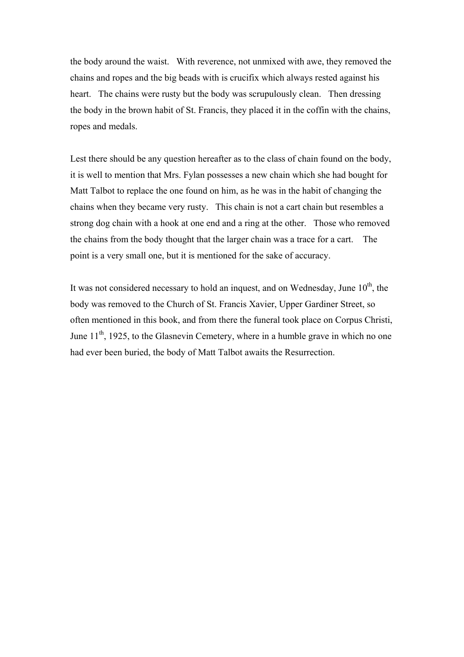the body around the waist. With reverence, not unmixed with awe, they removed the chains and ropes and the big beads with is crucifix which always rested against his heart. The chains were rusty but the body was scrupulously clean. Then dressing the body in the brown habit of St. Francis, they placed it in the coffin with the chains, ropes and medals.

Lest there should be any question hereafter as to the class of chain found on the body, it is well to mention that Mrs. Fylan possesses a new chain which she had bought for Matt Talbot to replace the one found on him, as he was in the habit of changing the chains when they became very rusty. This chain is not a cart chain but resembles a strong dog chain with a hook at one end and a ring at the other. Those who removed the chains from the body thought that the larger chain was a trace for a cart. The point is a very small one, but it is mentioned for the sake of accuracy.

It was not considered necessary to hold an inquest, and on Wednesday, June  $10<sup>th</sup>$ , the body was removed to the Church of St. Francis Xavier, Upper Gardiner Street, so often mentioned in this book, and from there the funeral took place on Corpus Christi, June  $11<sup>th</sup>$ , 1925, to the Glasnevin Cemetery, where in a humble grave in which no one had ever been buried, the body of Matt Talbot awaits the Resurrection.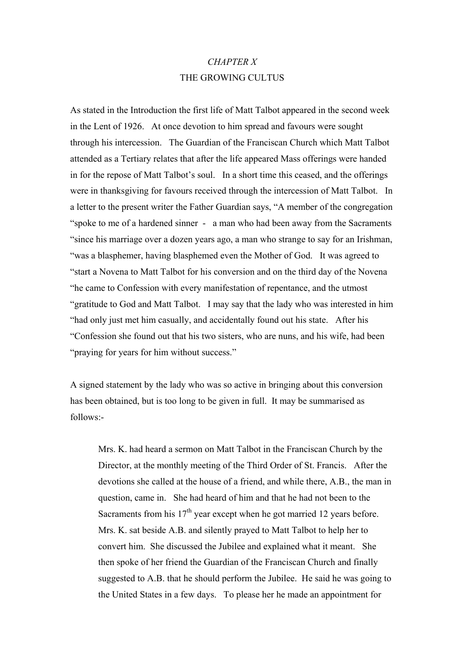### *CHAPTER X*  THE GROWING CULTUS

As stated in the Introduction the first life of Matt Talbot appeared in the second week in the Lent of 1926. At once devotion to him spread and favours were sought through his intercession. The Guardian of the Franciscan Church which Matt Talbot attended as a Tertiary relates that after the life appeared Mass offerings were handed in for the repose of Matt Talbot's soul. In a short time this ceased, and the offerings were in thanksgiving for favours received through the intercession of Matt Talbot. In a letter to the present writer the Father Guardian says, "A member of the congregation "spoke to me of a hardened sinner - a man who had been away from the Sacraments "since his marriage over a dozen years ago, a man who strange to say for an Irishman, "was a blasphemer, having blasphemed even the Mother of God. It was agreed to "start a Novena to Matt Talbot for his conversion and on the third day of the Novena "he came to Confession with every manifestation of repentance, and the utmost "gratitude to God and Matt Talbot. I may say that the lady who was interested in him "had only just met him casually, and accidentally found out his state. After his "Confession she found out that his two sisters, who are nuns, and his wife, had been "praying for years for him without success."

A signed statement by the lady who was so active in bringing about this conversion has been obtained, but is too long to be given in full. It may be summarised as follows:-

Mrs. K. had heard a sermon on Matt Talbot in the Franciscan Church by the Director, at the monthly meeting of the Third Order of St. Francis. After the devotions she called at the house of a friend, and while there, A.B., the man in question, came in. She had heard of him and that he had not been to the Sacraments from his  $17<sup>th</sup>$  year except when he got married 12 years before. Mrs. K. sat beside A.B. and silently prayed to Matt Talbot to help her to convert him. She discussed the Jubilee and explained what it meant. She then spoke of her friend the Guardian of the Franciscan Church and finally suggested to A.B. that he should perform the Jubilee. He said he was going to the United States in a few days. To please her he made an appointment for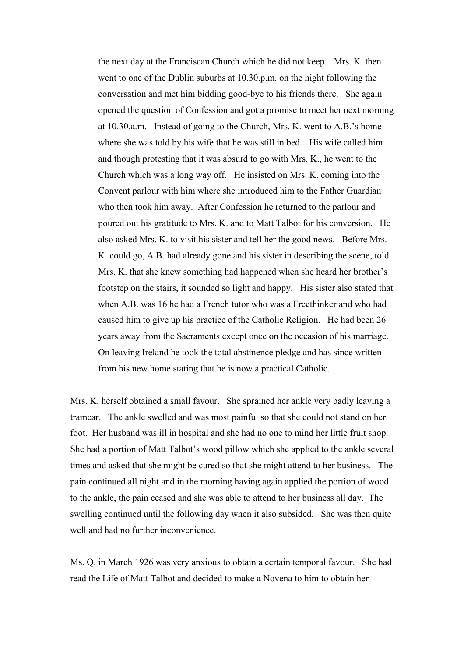the next day at the Franciscan Church which he did not keep. Mrs. K. then went to one of the Dublin suburbs at 10.30.p.m. on the night following the conversation and met him bidding good-bye to his friends there. She again opened the question of Confession and got a promise to meet her next morning at 10.30.a.m. Instead of going to the Church, Mrs. K. went to A.B.'s home where she was told by his wife that he was still in bed. His wife called him and though protesting that it was absurd to go with Mrs. K., he went to the Church which was a long way off. He insisted on Mrs. K. coming into the Convent parlour with him where she introduced him to the Father Guardian who then took him away. After Confession he returned to the parlour and poured out his gratitude to Mrs. K. and to Matt Talbot for his conversion. He also asked Mrs. K. to visit his sister and tell her the good news. Before Mrs. K. could go, A.B. had already gone and his sister in describing the scene, told Mrs. K. that she knew something had happened when she heard her brother's footstep on the stairs, it sounded so light and happy. His sister also stated that when A.B. was 16 he had a French tutor who was a Freethinker and who had caused him to give up his practice of the Catholic Religion. He had been 26 years away from the Sacraments except once on the occasion of his marriage. On leaving Ireland he took the total abstinence pledge and has since written from his new home stating that he is now a practical Catholic.

Mrs. K. herself obtained a small favour. She sprained her ankle very badly leaving a tramcar. The ankle swelled and was most painful so that she could not stand on her foot. Her husband was ill in hospital and she had no one to mind her little fruit shop. She had a portion of Matt Talbot's wood pillow which she applied to the ankle several times and asked that she might be cured so that she might attend to her business. The pain continued all night and in the morning having again applied the portion of wood to the ankle, the pain ceased and she was able to attend to her business all day. The swelling continued until the following day when it also subsided. She was then quite well and had no further inconvenience.

Ms. Q. in March 1926 was very anxious to obtain a certain temporal favour. She had read the Life of Matt Talbot and decided to make a Novena to him to obtain her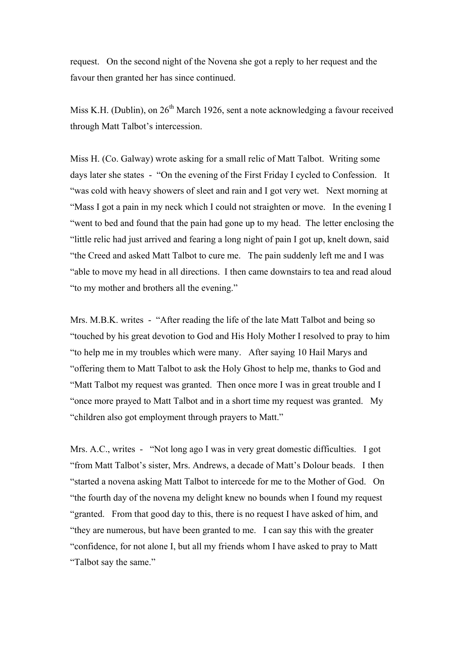request. On the second night of the Novena she got a reply to her request and the favour then granted her has since continued.

Miss K.H. (Dublin), on  $26<sup>th</sup>$  March 1926, sent a note acknowledging a favour received through Matt Talbot's intercession.

Miss H. (Co. Galway) wrote asking for a small relic of Matt Talbot. Writing some days later she states - "On the evening of the First Friday I cycled to Confession. It "was cold with heavy showers of sleet and rain and I got very wet. Next morning at "Mass I got a pain in my neck which I could not straighten or move. In the evening I "went to bed and found that the pain had gone up to my head. The letter enclosing the "little relic had just arrived and fearing a long night of pain I got up, knelt down, said "the Creed and asked Matt Talbot to cure me. The pain suddenly left me and I was "able to move my head in all directions. I then came downstairs to tea and read aloud "to my mother and brothers all the evening."

Mrs. M.B.K. writes - "After reading the life of the late Matt Talbot and being so "touched by his great devotion to God and His Holy Mother I resolved to pray to him "to help me in my troubles which were many. After saying 10 Hail Marys and "offering them to Matt Talbot to ask the Holy Ghost to help me, thanks to God and "Matt Talbot my request was granted. Then once more I was in great trouble and I "once more prayed to Matt Talbot and in a short time my request was granted. My "children also got employment through prayers to Matt."

Mrs. A.C., writes - "Not long ago I was in very great domestic difficulties. I got "from Matt Talbot's sister, Mrs. Andrews, a decade of Matt's Dolour beads. I then "started a novena asking Matt Talbot to intercede for me to the Mother of God. On "the fourth day of the novena my delight knew no bounds when I found my request "granted. From that good day to this, there is no request I have asked of him, and "they are numerous, but have been granted to me. I can say this with the greater "confidence, for not alone I, but all my friends whom I have asked to pray to Matt "Talbot say the same."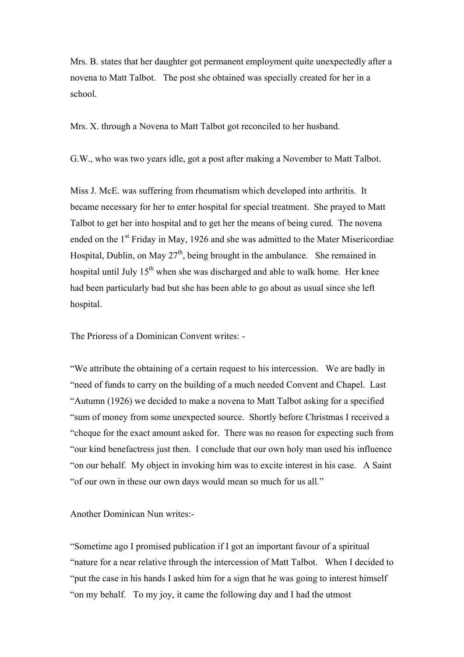Mrs. B. states that her daughter got permanent employment quite unexpectedly after a novena to Matt Talbot. The post she obtained was specially created for her in a school.

Mrs. X. through a Novena to Matt Talbot got reconciled to her husband.

G.W., who was two years idle, got a post after making a November to Matt Talbot.

Miss J. McE. was suffering from rheumatism which developed into arthritis. It became necessary for her to enter hospital for special treatment. She prayed to Matt Talbot to get her into hospital and to get her the means of being cured. The novena ended on the 1<sup>st</sup> Friday in May, 1926 and she was admitted to the Mater Misericordiae Hospital, Dublin, on May  $27<sup>th</sup>$ , being brought in the ambulance. She remained in hospital until July  $15<sup>th</sup>$  when she was discharged and able to walk home. Her knee had been particularly bad but she has been able to go about as usual since she left hospital.

The Prioress of a Dominican Convent writes: -

"We attribute the obtaining of a certain request to his intercession. We are badly in "need of funds to carry on the building of a much needed Convent and Chapel. Last "Autumn (1926) we decided to make a novena to Matt Talbot asking for a specified "sum of money from some unexpected source. Shortly before Christmas I received a "cheque for the exact amount asked for. There was no reason for expecting such from "our kind benefactress just then. I conclude that our own holy man used his influence "on our behalf. My object in invoking him was to excite interest in his case. A Saint "of our own in these our own days would mean so much for us all."

Another Dominican Nun writes:-

"Sometime ago I promised publication if I got an important favour of a spiritual "nature for a near relative through the intercession of Matt Talbot. When I decided to "put the case in his hands I asked him for a sign that he was going to interest himself "on my behalf. To my joy, it came the following day and I had the utmost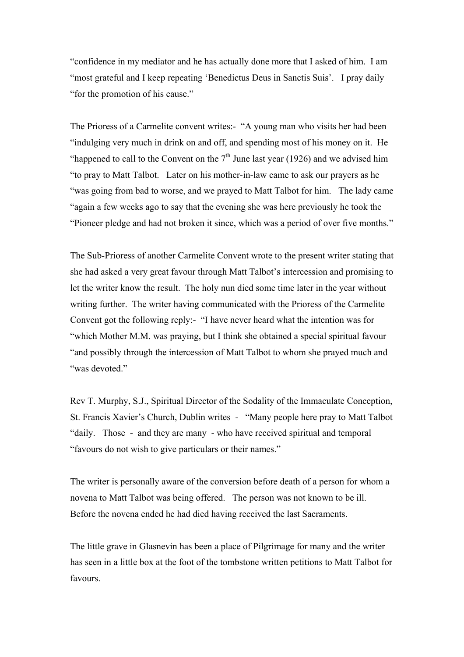"confidence in my mediator and he has actually done more that I asked of him. I am "most grateful and I keep repeating 'Benedictus Deus in Sanctis Suis'. I pray daily "for the promotion of his cause."

The Prioress of a Carmelite convent writes:- "A young man who visits her had been "indulging very much in drink on and off, and spending most of his money on it. He "happened to call to the Convent on the  $7<sup>th</sup>$  June last year (1926) and we advised him "to pray to Matt Talbot. Later on his mother-in-law came to ask our prayers as he "was going from bad to worse, and we prayed to Matt Talbot for him. The lady came "again a few weeks ago to say that the evening she was here previously he took the "Pioneer pledge and had not broken it since, which was a period of over five months."

The Sub-Prioress of another Carmelite Convent wrote to the present writer stating that she had asked a very great favour through Matt Talbot's intercession and promising to let the writer know the result. The holy nun died some time later in the year without writing further. The writer having communicated with the Prioress of the Carmelite Convent got the following reply:- "I have never heard what the intention was for "which Mother M.M. was praying, but I think she obtained a special spiritual favour "and possibly through the intercession of Matt Talbot to whom she prayed much and "was devoted"

Rev T. Murphy, S.J., Spiritual Director of the Sodality of the Immaculate Conception, St. Francis Xavier's Church, Dublin writes - "Many people here pray to Matt Talbot "daily. Those - and they are many - who have received spiritual and temporal "favours do not wish to give particulars or their names."

The writer is personally aware of the conversion before death of a person for whom a novena to Matt Talbot was being offered. The person was not known to be ill. Before the novena ended he had died having received the last Sacraments.

The little grave in Glasnevin has been a place of Pilgrimage for many and the writer has seen in a little box at the foot of the tombstone written petitions to Matt Talbot for favours.